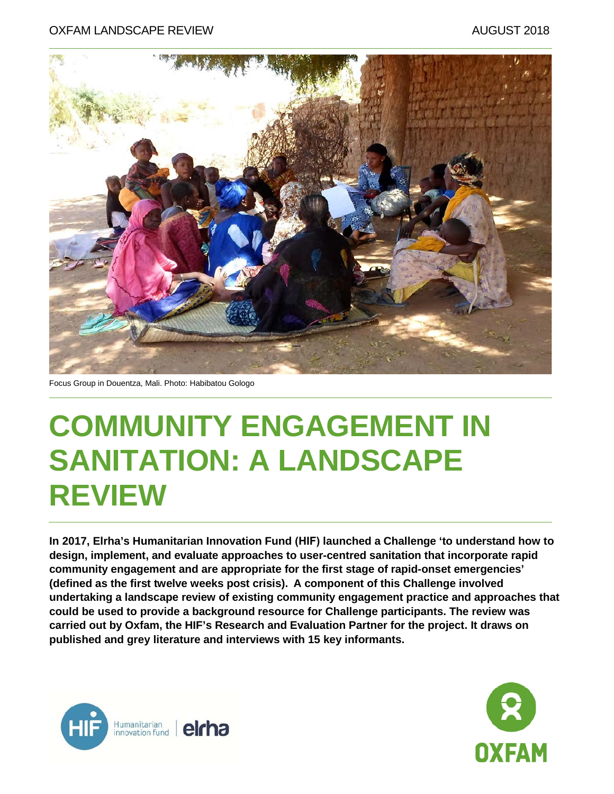

Focus Group in Douentza, Mali. Photo: Habibatou Gologo

# **COMMUNITY ENGAGEMENT IN SANITATION: A LANDSCAPE REVIEW**

**In 2017, Elrha's Humanitarian Innovation Fund (HIF) launched a Challenge 'to understand how to design, implement, and evaluate approaches to user-centred sanitation that incorporate rapid community engagement and are appropriate for the first stage of rapid-onset emergencies' (defined as the first twelve weeks post crisis). A component of this Challenge involved undertaking a landscape review of existing community engagement practice and approaches that could be used to provide a background resource for Challenge participants. The review was carried out by Oxfam, the HIF's Research and Evaluation Partner for the project. It draws on published and grey literature and interviews with 15 key informants.**



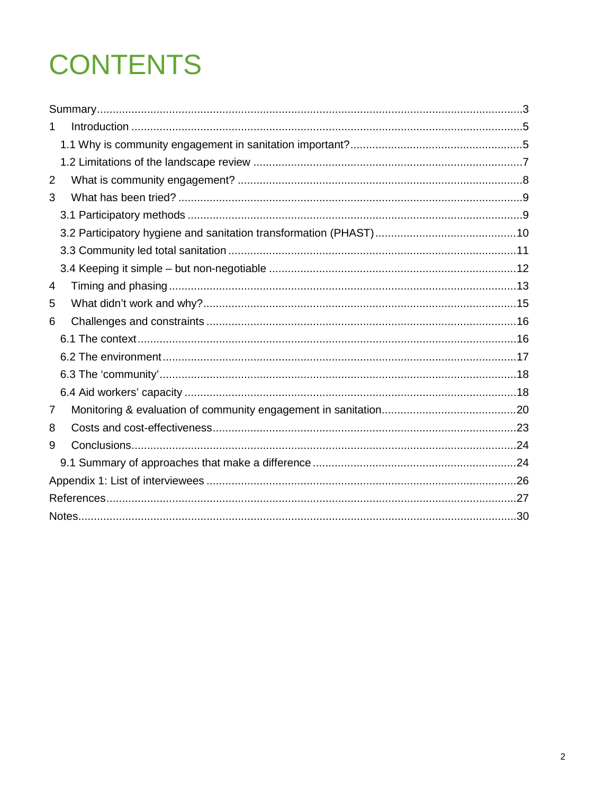# **CONTENTS**

| 1              |  |
|----------------|--|
|                |  |
|                |  |
| $\overline{2}$ |  |
| 3              |  |
|                |  |
|                |  |
|                |  |
|                |  |
| 4              |  |
| 5              |  |
| 6              |  |
|                |  |
|                |  |
|                |  |
|                |  |
| 7              |  |
| 8              |  |
| 9              |  |
|                |  |
|                |  |
|                |  |
|                |  |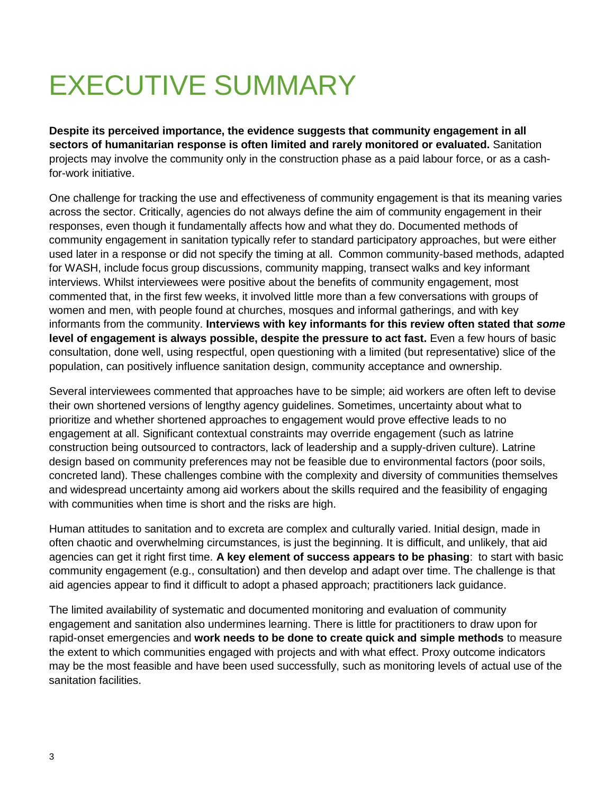## <span id="page-2-0"></span>EXECUTIVE SUMMARY

**Despite its perceived importance, the evidence suggests that community engagement in all sectors of humanitarian response is often limited and rarely monitored or evaluated.** Sanitation projects may involve the community only in the construction phase as a paid labour force, or as a cashfor-work initiative.

One challenge for tracking the use and effectiveness of community engagement is that its meaning varies across the sector. Critically, agencies do not always define the aim of community engagement in their responses, even though it fundamentally affects how and what they do. Documented methods of community engagement in sanitation typically refer to standard participatory approaches, but were either used later in a response or did not specify the timing at all. Common community-based methods, adapted for WASH, include focus group discussions, community mapping, transect walks and key informant interviews. Whilst interviewees were positive about the benefits of community engagement, most commented that, in the first few weeks, it involved little more than a few conversations with groups of women and men, with people found at churches, mosques and informal gatherings, and with key informants from the community. **Interviews with key informants for this review often stated that** *some* **level of engagement is always possible, despite the pressure to act fast.** Even a few hours of basic consultation, done well, using respectful, open questioning with a limited (but representative) slice of the population, can positively influence sanitation design, community acceptance and ownership.

Several interviewees commented that approaches have to be simple; aid workers are often left to devise their own shortened versions of lengthy agency guidelines. Sometimes, uncertainty about what to prioritize and whether shortened approaches to engagement would prove effective leads to no engagement at all. Significant contextual constraints may override engagement (such as latrine construction being outsourced to contractors, lack of leadership and a supply-driven culture). Latrine design based on community preferences may not be feasible due to environmental factors (poor soils, concreted land). These challenges combine with the complexity and diversity of communities themselves and widespread uncertainty among aid workers about the skills required and the feasibility of engaging with communities when time is short and the risks are high.

Human attitudes to sanitation and to excreta are complex and culturally varied. Initial design, made in often chaotic and overwhelming circumstances, is just the beginning. It is difficult, and unlikely, that aid agencies can get it right first time. **A key element of success appears to be phasing**: to start with basic community engagement (e.g., consultation) and then develop and adapt over time. The challenge is that aid agencies appear to find it difficult to adopt a phased approach; practitioners lack guidance.

The limited availability of systematic and documented monitoring and evaluation of community engagement and sanitation also undermines learning. There is little for practitioners to draw upon for rapid-onset emergencies and **work needs to be done to create quick and simple methods** to measure the extent to which communities engaged with projects and with what effect. Proxy outcome indicators may be the most feasible and have been used successfully, such as monitoring levels of actual use of the sanitation facilities.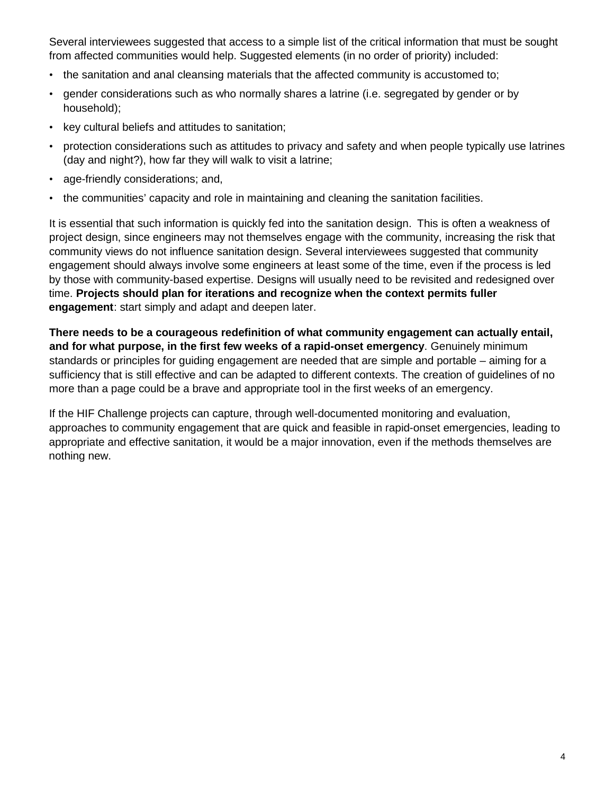Several interviewees suggested that access to a simple list of the critical information that must be sought from affected communities would help. Suggested elements (in no order of priority) included:

- the sanitation and anal cleansing materials that the affected community is accustomed to;
- gender considerations such as who normally shares a latrine (i.e. segregated by gender or by household);
- key cultural beliefs and attitudes to sanitation;
- protection considerations such as attitudes to privacy and safety and when people typically use latrines (day and night?), how far they will walk to visit a latrine;
- age-friendly considerations; and,
- the communities' capacity and role in maintaining and cleaning the sanitation facilities.

It is essential that such information is quickly fed into the sanitation design. This is often a weakness of project design, since engineers may not themselves engage with the community, increasing the risk that community views do not influence sanitation design. Several interviewees suggested that community engagement should always involve some engineers at least some of the time, even if the process is led by those with community-based expertise. Designs will usually need to be revisited and redesigned over time. **Projects should plan for iterations and recognize when the context permits fuller engagement**: start simply and adapt and deepen later.

**There needs to be a courageous redefinition of what community engagement can actually entail, and for what purpose, in the first few weeks of a rapid-onset emergency**. Genuinely minimum standards or principles for guiding engagement are needed that are simple and portable – aiming for a sufficiency that is still effective and can be adapted to different contexts. The creation of guidelines of no more than a page could be a brave and appropriate tool in the first weeks of an emergency.

If the HIF Challenge projects can capture, through well-documented monitoring and evaluation, approaches to community engagement that are quick and feasible in rapid-onset emergencies, leading to appropriate and effective sanitation, it would be a major innovation, even if the methods themselves are nothing new.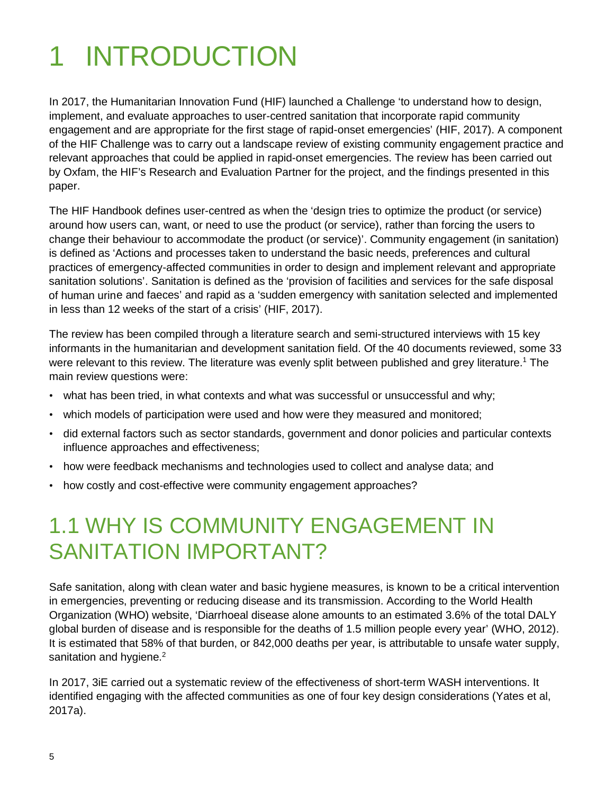# <span id="page-4-0"></span>1 INTRODUCTION

In 2017, the Humanitarian Innovation Fund (HIF) launched a Challenge 'to understand how to design, implement, and evaluate approaches to user-centred sanitation that incorporate rapid community engagement and are appropriate for the first stage of rapid-onset emergencies' (HIF, 2017). A component of the HIF Challenge was to carry out a landscape review of existing community engagement practice and relevant approaches that could be applied in rapid-onset emergencies. The review has been carried out by Oxfam, the HIF's Research and Evaluation Partner for the project, and the findings presented in this paper.

The HIF Handbook defines user-centred as when the 'design tries to optimize the product (or service) around how users can, want, or need to use the product (or service), rather than forcing the users to change their behaviour to accommodate the product (or service)'. Community engagement (in sanitation) is defined as 'Actions and processes taken to understand the basic needs, preferences and cultural practices of emergency-affected communities in order to design and implement relevant and appropriate sanitation solutions'. Sanitation is defined as the 'provision of facilities and services for the safe disposal of human urine and faeces' and rapid as a 'sudden emergency with sanitation selected and implemented in less than 12 weeks of the start of a crisis' (HIF, 2017).

The review has been compiled through a literature search and semi-structured interviews with 15 key informants in the humanitarian and development sanitation field. Of the 40 documents reviewed, some 33 were relevant to this review. The literature was evenly split between published and grey literature.<sup>1</sup> The main review questions were:

- what has been tried, in what contexts and what was successful or unsuccessful and why;
- which models of participation were used and how were they measured and monitored;
- did external factors such as sector standards, government and donor policies and particular contexts influence approaches and effectiveness;
- how were feedback mechanisms and technologies used to collect and analyse data; and
- <span id="page-4-1"></span>• how costly and cost-effective were community engagement approaches?

#### 1.1 WHY IS COMMUNITY ENGAGEMENT IN SANITATION IMPORTANT?

Safe sanitation, along with clean water and basic hygiene measures, is known to be a critical intervention in emergencies, preventing or reducing disease and its transmission. According to the World Health Organization (WHO) website, 'Diarrhoeal disease alone amounts to an estimated 3.6% of the total DALY global burden of disease and is responsible for the deaths of 1.5 million people every year' (WHO, 2012). It is estimated that 58% of that burden, or 842,000 deaths per year, is attributable to unsafe water supply, sanitation and hygiene.<sup>2</sup>

In 2017, 3iE carried out a systematic review of the effectiveness of short-term WASH interventions. It identified engaging with the affected communities as one of four key design considerations (Yates et al, 2017a).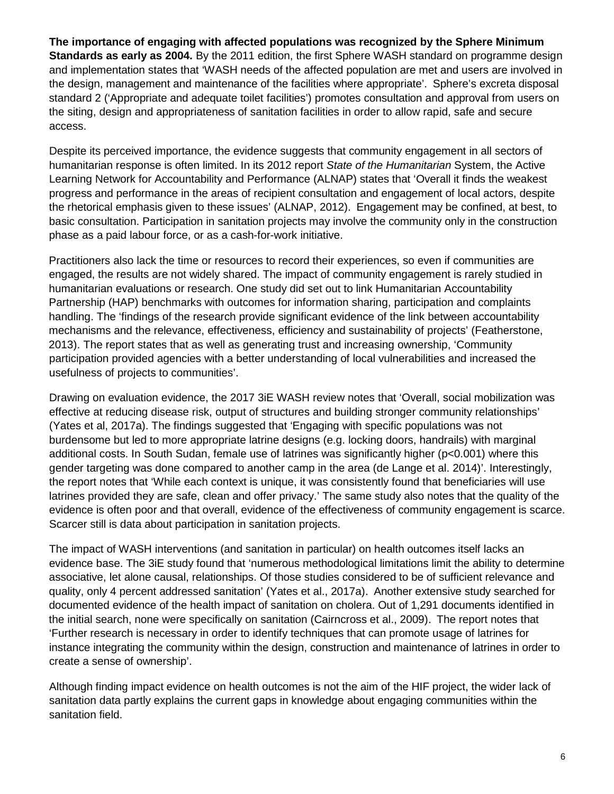**The importance of engaging with affected populations was recognized by the Sphere Minimum Standards as early as 2004.** By the 2011 edition, the first Sphere WASH standard on programme design and implementation states that 'WASH needs of the affected population are met and users are involved in the design, management and maintenance of the facilities where appropriate'. Sphere's excreta disposal standard 2 ('Appropriate and adequate toilet facilities') promotes consultation and approval from users on the siting, design and appropriateness of sanitation facilities in order to allow rapid, safe and secure access.

Despite its perceived importance, the evidence suggests that community engagement in all sectors of humanitarian response is often limited. In its 2012 report *State of the Humanitarian* System, the Active Learning Network for Accountability and Performance (ALNAP) states that 'Overall it finds the weakest progress and performance in the areas of recipient consultation and engagement of local actors, despite the rhetorical emphasis given to these issues' (ALNAP, 2012). Engagement may be confined, at best, to basic consultation. Participation in sanitation projects may involve the community only in the construction phase as a paid labour force, or as a cash-for-work initiative.

Practitioners also lack the time or resources to record their experiences, so even if communities are engaged, the results are not widely shared. The impact of community engagement is rarely studied in humanitarian evaluations or research. One study did set out to link Humanitarian Accountability Partnership (HAP) benchmarks with outcomes for information sharing, participation and complaints handling. The 'findings of the research provide significant evidence of the link between accountability mechanisms and the relevance, effectiveness, efficiency and sustainability of projects' (Featherstone, 2013). The report states that as well as generating trust and increasing ownership, 'Community participation provided agencies with a better understanding of local vulnerabilities and increased the usefulness of projects to communities'.

Drawing on evaluation evidence, the 2017 3iE WASH review notes that 'Overall, social mobilization was effective at reducing disease risk, output of structures and building stronger community relationships' (Yates et al, 2017a). The findings suggested that 'Engaging with specific populations was not burdensome but led to more appropriate latrine designs (e.g. locking doors, handrails) with marginal additional costs. In South Sudan, female use of latrines was significantly higher (p<0.001) where this gender targeting was done compared to another camp in the area (de Lange et al. 2014)'. Interestingly, the report notes that 'While each context is unique, it was consistently found that beneficiaries will use latrines provided they are safe, clean and offer privacy.' The same study also notes that the quality of the evidence is often poor and that overall, evidence of the effectiveness of community engagement is scarce. Scarcer still is data about participation in sanitation projects.

The impact of WASH interventions (and sanitation in particular) on health outcomes itself lacks an evidence base. The 3iE study found that 'numerous methodological limitations limit the ability to determine associative, let alone causal, relationships. Of those studies considered to be of sufficient relevance and quality, only 4 percent addressed sanitation' (Yates et al., 2017a). Another extensive study searched for documented evidence of the health impact of sanitation on cholera. Out of 1,291 documents identified in the initial search, none were specifically on sanitation (Cairncross et al., 2009). The report notes that 'Further research is necessary in order to identify techniques that can promote usage of latrines for instance integrating the community within the design, construction and maintenance of latrines in order to create a sense of ownership'.

Although finding impact evidence on health outcomes is not the aim of the HIF project, the wider lack of sanitation data partly explains the current gaps in knowledge about engaging communities within the sanitation field.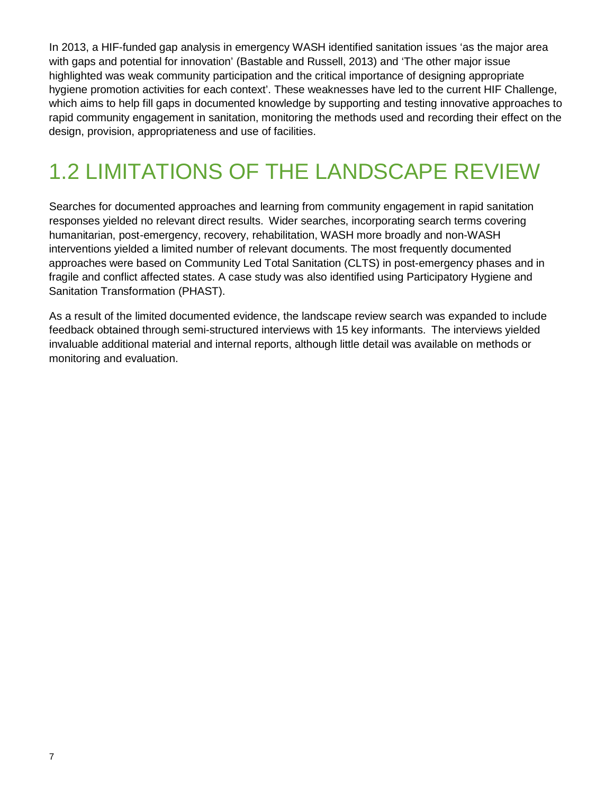In 2013, a HIF-funded gap analysis in emergency WASH identified sanitation issues 'as the major area with gaps and potential for innovation' (Bastable and Russell, 2013) and 'The other major issue highlighted was weak community participation and the critical importance of designing appropriate hygiene promotion activities for each context'. These weaknesses have led to the current HIF Challenge, which aims to help fill gaps in documented knowledge by supporting and testing innovative approaches to rapid community engagement in sanitation, monitoring the methods used and recording their effect on the design, provision, appropriateness and use of facilities.

#### <span id="page-6-0"></span>1.2 LIMITATIONS OF THE LANDSCAPE REVIEW

Searches for documented approaches and learning from community engagement in rapid sanitation responses yielded no relevant direct results. Wider searches, incorporating search terms covering humanitarian, post-emergency, recovery, rehabilitation, WASH more broadly and non-WASH interventions yielded a limited number of relevant documents. The most frequently documented approaches were based on Community Led Total Sanitation (CLTS) in post-emergency phases and in fragile and conflict affected states. A case study was also identified using Participatory Hygiene and Sanitation Transformation (PHAST).

As a result of the limited documented evidence, the landscape review search was expanded to include feedback obtained through semi-structured interviews with 15 key informants. The interviews yielded invaluable additional material and internal reports, although little detail was available on methods or monitoring and evaluation.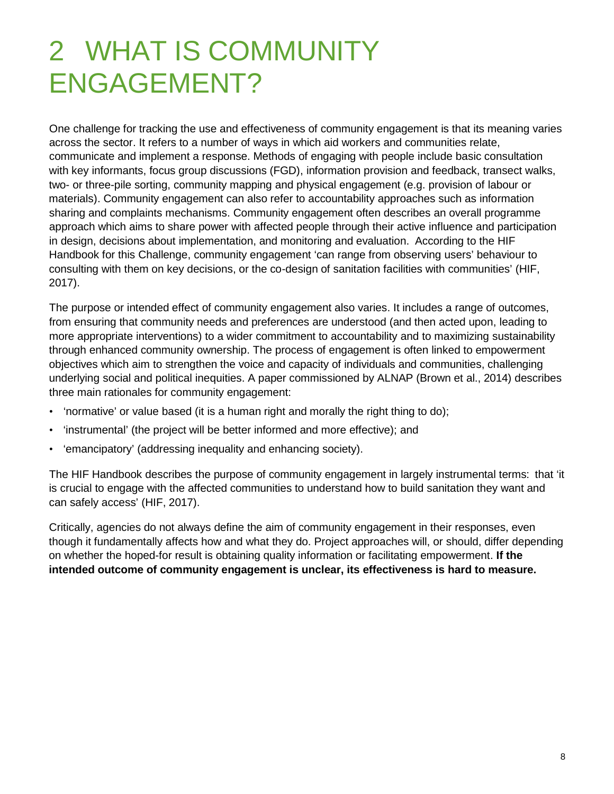## <span id="page-7-0"></span>2 WHAT IS COMMUNITY ENGAGEMENT?

One challenge for tracking the use and effectiveness of community engagement is that its meaning varies across the sector. It refers to a number of ways in which aid workers and communities relate, communicate and implement a response. Methods of engaging with people include basic consultation with key informants, focus group discussions (FGD), information provision and feedback, transect walks, two- or three-pile sorting, community mapping and physical engagement (e.g. provision of labour or materials). Community engagement can also refer to accountability approaches such as information sharing and complaints mechanisms. Community engagement often describes an overall programme approach which aims to share power with affected people through their active influence and participation in design, decisions about implementation, and monitoring and evaluation. According to the HIF Handbook for this Challenge, community engagement 'can range from observing users' behaviour to consulting with them on key decisions, or the co-design of sanitation facilities with communities' (HIF, 2017).

The purpose or intended effect of community engagement also varies. It includes a range of outcomes, from ensuring that community needs and preferences are understood (and then acted upon, leading to more appropriate interventions) to a wider commitment to accountability and to maximizing sustainability through enhanced community ownership. The process of engagement is often linked to empowerment objectives which aim to strengthen the voice and capacity of individuals and communities, challenging underlying social and political inequities. A paper commissioned by ALNAP (Brown et al., 2014) describes three main rationales for community engagement:

- 'normative' or value based (it is a human right and morally the right thing to do);
- 'instrumental' (the project will be better informed and more effective); and
- 'emancipatory' (addressing inequality and enhancing society).

The HIF Handbook describes the purpose of community engagement in largely instrumental terms: that 'it is crucial to engage with the affected communities to understand how to build sanitation they want and can safely access' (HIF, 2017).

Critically, agencies do not always define the aim of community engagement in their responses, even though it fundamentally affects how and what they do. Project approaches will, or should, differ depending on whether the hoped-for result is obtaining quality information or facilitating empowerment. **If the intended outcome of community engagement is unclear, its effectiveness is hard to measure.**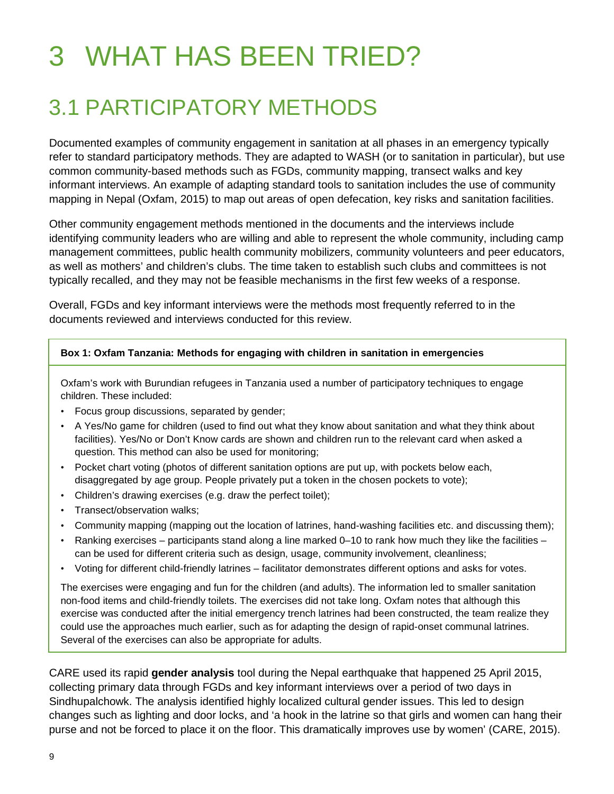# <span id="page-8-0"></span>3 WHAT HAS BEEN TRIED?

#### <span id="page-8-1"></span>3.1 PARTICIPATORY METHODS

Documented examples of community engagement in sanitation at all phases in an emergency typically refer to standard participatory methods. They are adapted to WASH (or to sanitation in particular), but use common community-based methods such as FGDs, community mapping, transect walks and key informant interviews. An example of adapting standard tools to sanitation includes the use of community mapping in Nepal (Oxfam, 2015) to map out areas of open defecation, key risks and sanitation facilities.

Other community engagement methods mentioned in the documents and the interviews include identifying community leaders who are willing and able to represent the whole community, including camp management committees, public health community mobilizers, community volunteers and peer educators, as well as mothers' and children's clubs. The time taken to establish such clubs and committees is not typically recalled, and they may not be feasible mechanisms in the first few weeks of a response.

Overall, FGDs and key informant interviews were the methods most frequently referred to in the documents reviewed and interviews conducted for this review.

#### **Box 1: Oxfam Tanzania: Methods for engaging with children in sanitation in emergencies**

Oxfam's work with Burundian refugees in Tanzania used a number of participatory techniques to engage children. These included:

- Focus group discussions, separated by gender;
- A Yes/No game for children (used to find out what they know about sanitation and what they think about facilities). Yes/No or Don't Know cards are shown and children run to the relevant card when asked a question. This method can also be used for monitoring;
- Pocket chart voting (photos of different sanitation options are put up, with pockets below each, disaggregated by age group. People privately put a token in the chosen pockets to vote);
- Children's drawing exercises (e.g. draw the perfect toilet);
- Transect/observation walks;
- Community mapping (mapping out the location of latrines, hand-washing facilities etc. and discussing them);
- Ranking exercises participants stand along a line marked 0–10 to rank how much they like the facilities can be used for different criteria such as design, usage, community involvement, cleanliness;
- Voting for different child-friendly latrines facilitator demonstrates different options and asks for votes.

The exercises were engaging and fun for the children (and adults). The information led to smaller sanitation non-food items and child-friendly toilets. The exercises did not take long. Oxfam notes that although this exercise was conducted after the initial emergency trench latrines had been constructed, the team realize they could use the approaches much earlier, such as for adapting the design of rapid-onset communal latrines. Several of the exercises can also be appropriate for adults.

CARE used its rapid **gender analysis** tool during the Nepal earthquake that happened 25 April 2015, collecting primary data through FGDs and key informant interviews over a period of two days in Sindhupalchowk. The analysis identified highly localized cultural gender issues. This led to design changes such as lighting and door locks, and 'a hook in the latrine so that girls and women can hang their purse and not be forced to place it on the floor. This dramatically improves use by women' (CARE, 2015).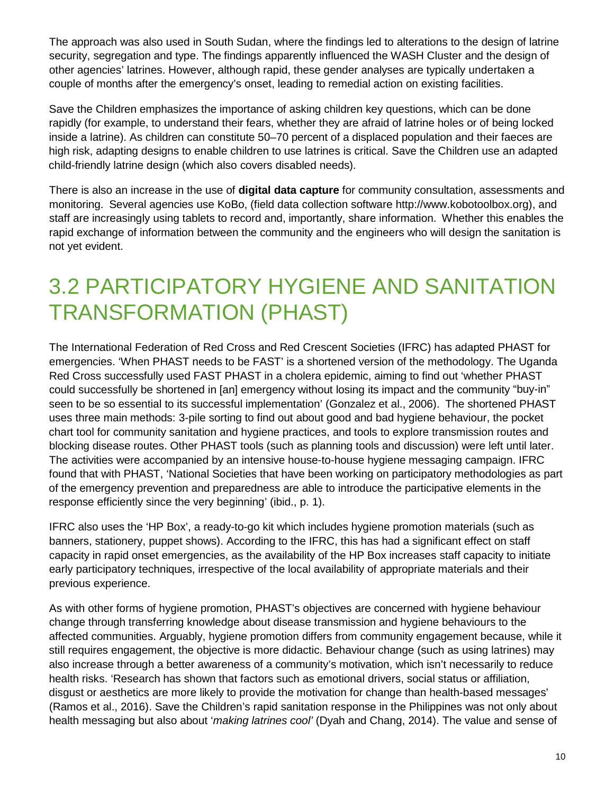The approach was also used in South Sudan, where the findings led to alterations to the design of latrine security, segregation and type. The findings apparently influenced the WASH Cluster and the design of other agencies' latrines. However, although rapid, these gender analyses are typically undertaken a couple of months after the emergency's onset, leading to remedial action on existing facilities.

Save the Children emphasizes the importance of asking children key questions, which can be done rapidly (for example, to understand their fears, whether they are afraid of latrine holes or of being locked inside a latrine). As children can constitute 50–70 percent of a displaced population and their faeces are high risk, adapting designs to enable children to use latrines is critical. Save the Children use an adapted child-friendly latrine design (which also covers disabled needs).

There is also an increase in the use of **digital data capture** for community consultation, assessments and monitoring. Several agencies use KoBo, (field data collection software http://www.kobotoolbox.org), and staff are increasingly using tablets to record and, importantly, share information. Whether this enables the rapid exchange of information between the community and the engineers who will design the sanitation is not yet evident.

#### <span id="page-9-0"></span>3.2 PARTICIPATORY HYGIENE AND SANITATION TRANSFORMATION (PHAST)

The International Federation of Red Cross and Red Crescent Societies (IFRC) has adapted PHAST for emergencies. 'When PHAST needs to be FAST' is a shortened version of the methodology. The Uganda Red Cross successfully used FAST PHAST in a cholera epidemic, aiming to find out 'whether PHAST could successfully be shortened in [an] emergency without losing its impact and the community "buy-in" seen to be so essential to its successful implementation' (Gonzalez et al., 2006). The shortened PHAST uses three main methods: 3-pile sorting to find out about good and bad hygiene behaviour, the pocket chart tool for community sanitation and hygiene practices, and tools to explore transmission routes and blocking disease routes. Other PHAST tools (such as planning tools and discussion) were left until later. The activities were accompanied by an intensive house-to-house hygiene messaging campaign. IFRC found that with PHAST, 'National Societies that have been working on participatory methodologies as part of the emergency prevention and preparedness are able to introduce the participative elements in the response efficiently since the very beginning' (ibid., p. 1).

IFRC also uses the 'HP Box', a ready-to-go kit which includes hygiene promotion materials (such as banners, stationery, puppet shows). According to the IFRC, this has had a significant effect on staff capacity in rapid onset emergencies, as the availability of the HP Box increases staff capacity to initiate early participatory techniques, irrespective of the local availability of appropriate materials and their previous experience.

As with other forms of hygiene promotion, PHAST's objectives are concerned with hygiene behaviour change through transferring knowledge about disease transmission and hygiene behaviours to the affected communities. Arguably, hygiene promotion differs from community engagement because, while it still requires engagement, the objective is more didactic. Behaviour change (such as using latrines) may also increase through a better awareness of a community's motivation, which isn't necessarily to reduce health risks. 'Research has shown that factors such as emotional drivers, social status or affiliation, disgust or aesthetics are more likely to provide the motivation for change than health-based messages' (Ramos et al., 2016). Save the Children's rapid sanitation response in the Philippines was not only about health messaging but also about '*making latrines cool'* (Dyah and Chang, 2014). The value and sense of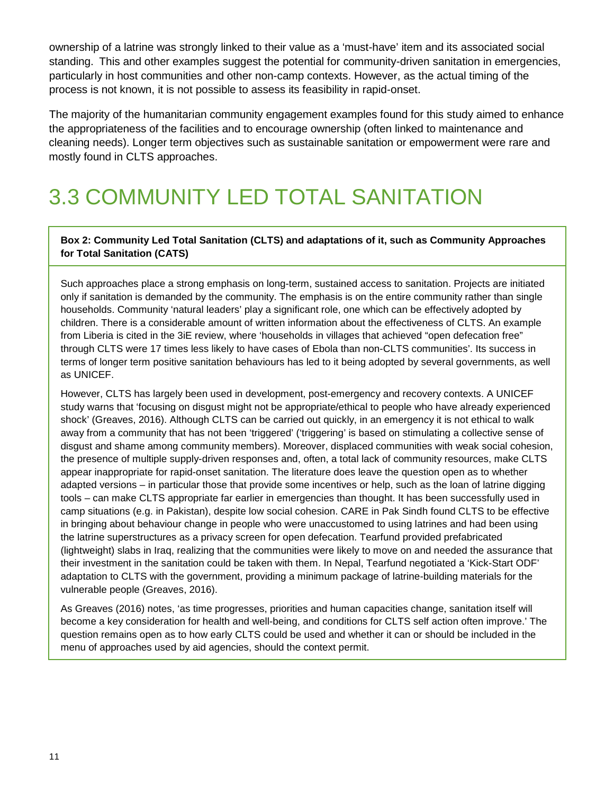ownership of a latrine was strongly linked to their value as a 'must-have' item and its associated social standing. This and other examples suggest the potential for community-driven sanitation in emergencies, particularly in host communities and other non-camp contexts. However, as the actual timing of the process is not known, it is not possible to assess its feasibility in rapid-onset.

The majority of the humanitarian community engagement examples found for this study aimed to enhance the appropriateness of the facilities and to encourage ownership (often linked to maintenance and cleaning needs). Longer term objectives such as sustainable sanitation or empowerment were rare and mostly found in CLTS approaches.

## <span id="page-10-0"></span>3.3 COMMUNITY LED TOTAL SANITATION

**Box 2: Community Led Total Sanitation (CLTS) and adaptations of it, such as Community Approaches for Total Sanitation (CATS)** 

Such approaches place a strong emphasis on long-term, sustained access to sanitation. Projects are initiated only if sanitation is demanded by the community. The emphasis is on the entire community rather than single households. Community 'natural leaders' play a significant role, one which can be effectively adopted by children. There is a considerable amount of written information about the effectiveness of CLTS. An example from Liberia is cited in the 3iE review, where 'households in villages that achieved "open defecation free" through CLTS were 17 times less likely to have cases of Ebola than non-CLTS communities'. Its success in terms of longer term positive sanitation behaviours has led to it being adopted by several governments, as well as UNICEF.

However, CLTS has largely been used in development, post-emergency and recovery contexts. A UNICEF study warns that 'focusing on disgust might not be appropriate/ethical to people who have already experienced shock' (Greaves, 2016). Although CLTS can be carried out quickly, in an emergency it is not ethical to walk away from a community that has not been 'triggered' ('triggering' is based on stimulating a collective sense of disgust and shame among community members). Moreover, displaced communities with weak social cohesion, the presence of multiple supply-driven responses and, often, a total lack of community resources, make CLTS appear inappropriate for rapid-onset sanitation. The literature does leave the question open as to whether adapted versions – in particular those that provide some incentives or help, such as the loan of latrine digging tools – can make CLTS appropriate far earlier in emergencies than thought. It has been successfully used in camp situations (e.g. in Pakistan), despite low social cohesion. CARE in Pak Sindh found CLTS to be effective in bringing about behaviour change in people who were unaccustomed to using latrines and had been using the latrine superstructures as a privacy screen for open defecation. Tearfund provided prefabricated (lightweight) slabs in Iraq, realizing that the communities were likely to move on and needed the assurance that their investment in the sanitation could be taken with them. In Nepal, Tearfund negotiated a 'Kick-Start ODF' adaptation to CLTS with the government, providing a minimum package of latrine-building materials for the vulnerable people (Greaves, 2016).

As Greaves (2016) notes, 'as time progresses, priorities and human capacities change, sanitation itself will become a key consideration for health and well-being, and conditions for CLTS self action often improve.' The question remains open as to how early CLTS could be used and whether it can or should be included in the menu of approaches used by aid agencies, should the context permit.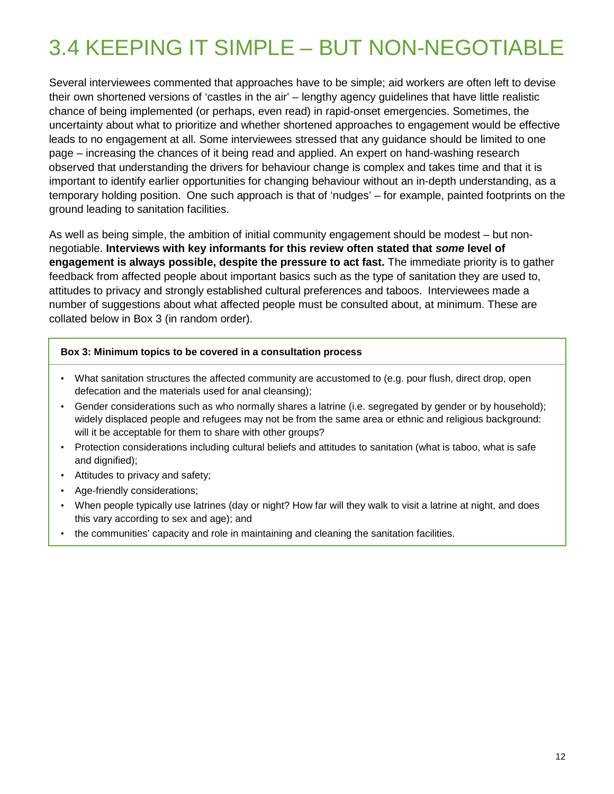## <span id="page-11-0"></span>3.4 KEEPING IT SIMPLE – BUT NON-NEGOTIABLE

Several interviewees commented that approaches have to be simple; aid workers are often left to devise their own shortened versions of 'castles in the air' – lengthy agency guidelines that have little realistic chance of being implemented (or perhaps, even read) in rapid-onset emergencies. Sometimes, the uncertainty about what to prioritize and whether shortened approaches to engagement would be effective leads to no engagement at all. Some interviewees stressed that any guidance should be limited to one page – increasing the chances of it being read and applied. An expert on hand-washing research observed that understanding the drivers for behaviour change is complex and takes time and that it is important to identify earlier opportunities for changing behaviour without an in-depth understanding, as a temporary holding position. One such approach is that of 'nudges' – for example, painted footprints on the ground leading to sanitation facilities.

As well as being simple, the ambition of initial community engagement should be modest – but nonnegotiable. **Interviews with key informants for this review often stated that** *some* **level of engagement is always possible, despite the pressure to act fast.** The immediate priority is to gather feedback from affected people about important basics such as the type of sanitation they are used to, attitudes to privacy and strongly established cultural preferences and taboos. Interviewees made a number of suggestions about what affected people must be consulted about, at minimum. These are collated below in Box 3 (in random order).

#### **Box 3: Minimum topics to be covered in a consultation process**

- What sanitation structures the affected community are accustomed to (e.g. pour flush, direct drop, open defecation and the materials used for anal cleansing);
- Gender considerations such as who normally shares a latrine (i.e. segregated by gender or by household); widely displaced people and refugees may not be from the same area or ethnic and religious background: will it be acceptable for them to share with other groups?
- Protection considerations including cultural beliefs and attitudes to sanitation (what is taboo, what is safe and dignified);
- Attitudes to privacy and safety;
- Age-friendly considerations;
- When people typically use latrines (day or night? How far will they walk to visit a latrine at night, and does this vary according to sex and age); and
- the communities' capacity and role in maintaining and cleaning the sanitation facilities.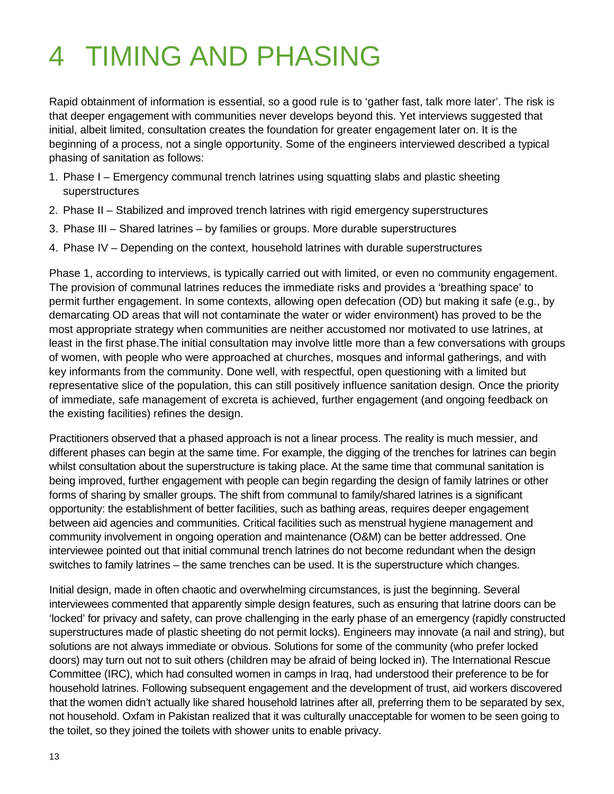## <span id="page-12-0"></span>4 TIMING AND PHASING

Rapid obtainment of information is essential, so a good rule is to 'gather fast, talk more later'. The risk is that deeper engagement with communities never develops beyond this. Yet interviews suggested that initial, albeit limited, consultation creates the foundation for greater engagement later on. It is the beginning of a process, not a single opportunity. Some of the engineers interviewed described a typical phasing of sanitation as follows:

- 1. Phase I Emergency communal trench latrines using squatting slabs and plastic sheeting superstructures
- 2. Phase II Stabilized and improved trench latrines with rigid emergency superstructures
- 3. Phase III Shared latrines by families or groups. More durable superstructures
- 4. Phase IV Depending on the context, household latrines with durable superstructures

Phase 1, according to interviews, is typically carried out with limited, or even no community engagement. The provision of communal latrines reduces the immediate risks and provides a 'breathing space' to permit further engagement. In some contexts, allowing open defecation (OD) but making it safe (e.g., by demarcating OD areas that will not contaminate the water or wider environment) has proved to be the most appropriate strategy when communities are neither accustomed nor motivated to use latrines, at least in the first phase.The initial consultation may involve little more than a few conversations with groups of women, with people who were approached at churches, mosques and informal gatherings, and with key informants from the community. Done well, with respectful, open questioning with a limited but representative slice of the population, this can still positively influence sanitation design. Once the priority of immediate, safe management of excreta is achieved, further engagement (and ongoing feedback on the existing facilities) refines the design.

Practitioners observed that a phased approach is not a linear process. The reality is much messier, and different phases can begin at the same time. For example, the digging of the trenches for latrines can begin whilst consultation about the superstructure is taking place. At the same time that communal sanitation is being improved, further engagement with people can begin regarding the design of family latrines or other forms of sharing by smaller groups. The shift from communal to family/shared latrines is a significant opportunity: the establishment of better facilities, such as bathing areas, requires deeper engagement between aid agencies and communities. Critical facilities such as menstrual hygiene management and community involvement in ongoing operation and maintenance (O&M) can be better addressed. One interviewee pointed out that initial communal trench latrines do not become redundant when the design switches to family latrines – the same trenches can be used. It is the superstructure which changes.

Initial design, made in often chaotic and overwhelming circumstances, is just the beginning. Several interviewees commented that apparently simple design features, such as ensuring that latrine doors can be 'locked' for privacy and safety, can prove challenging in the early phase of an emergency (rapidly constructed superstructures made of plastic sheeting do not permit locks). Engineers may innovate (a nail and string), but solutions are not always immediate or obvious. Solutions for some of the community (who prefer locked doors) may turn out not to suit others (children may be afraid of being locked in). The International Rescue Committee (IRC), which had consulted women in camps in Iraq, had understood their preference to be for household latrines. Following subsequent engagement and the development of trust, aid workers discovered that the women didn't actually like shared household latrines after all, preferring them to be separated by sex, not household. Oxfam in Pakistan realized that it was culturally unacceptable for women to be seen going to the toilet, so they joined the toilets with shower units to enable privacy.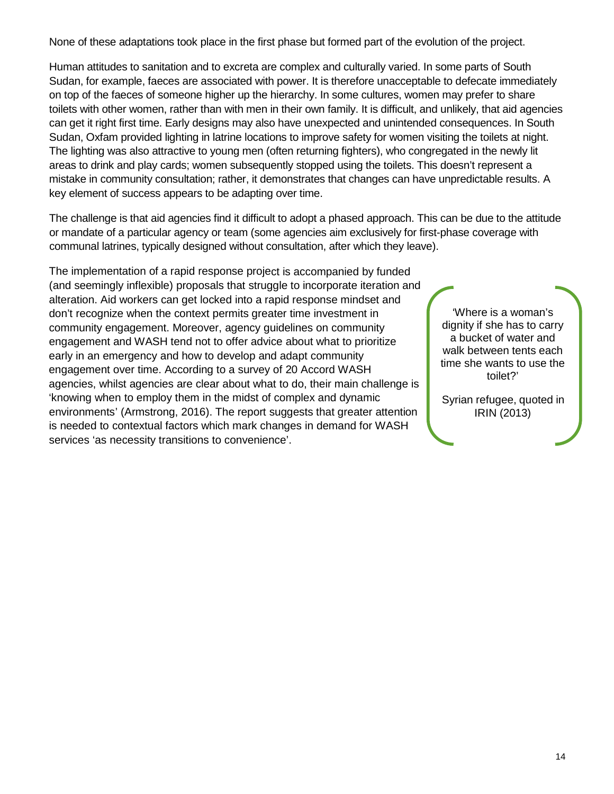None of these adaptations took place in the first phase but formed part of the evolution of the project.

Human attitudes to sanitation and to excreta are complex and culturally varied. In some parts of South Sudan, for example, faeces are associated with power. It is therefore unacceptable to defecate immediately on top of the faeces of someone higher up the hierarchy. In some cultures, women may prefer to share toilets with other women, rather than with men in their own family. It is difficult, and unlikely, that aid agencies can get it right first time. Early designs may also have unexpected and unintended consequences. In South Sudan, Oxfam provided lighting in latrine locations to improve safety for women visiting the toilets at night. The lighting was also attractive to young men (often returning fighters), who congregated in the newly lit areas to drink and play cards; women subsequently stopped using the toilets. This doesn't represent a mistake in community consultation; rather, it demonstrates that changes can have unpredictable results. A key element of success appears to be adapting over time.

The challenge is that aid agencies find it difficult to adopt a phased approach. This can be due to the attitude or mandate of a particular agency or team (some agencies aim exclusively for first-phase coverage with communal latrines, typically designed without consultation, after which they leave).

The implementation of a rapid response project is accompanied by funded (and seemingly inflexible) proposals that struggle to incorporate iteration and alteration. Aid workers can get locked into a rapid response mindset and don't recognize when the context permits greater time investment in community engagement. Moreover, agency guidelines on community engagement and WASH tend not to offer advice about what to prioritize early in an emergency and how to develop and adapt community engagement over time. According to a survey of 20 Accord WASH agencies, whilst agencies are clear about what to do, their main challenge is 'knowing when to employ them in the midst of complex and dynamic environments' (Armstrong, 2016). The report suggests that greater attention is needed to contextual factors which mark changes in demand for WASH services 'as necessity transitions to convenience'.

'Where is a woman's dignity if she has to carry a bucket of water and walk between tents each time she wants to use the toilet?'

Syrian refugee, quoted in IRIN (2013)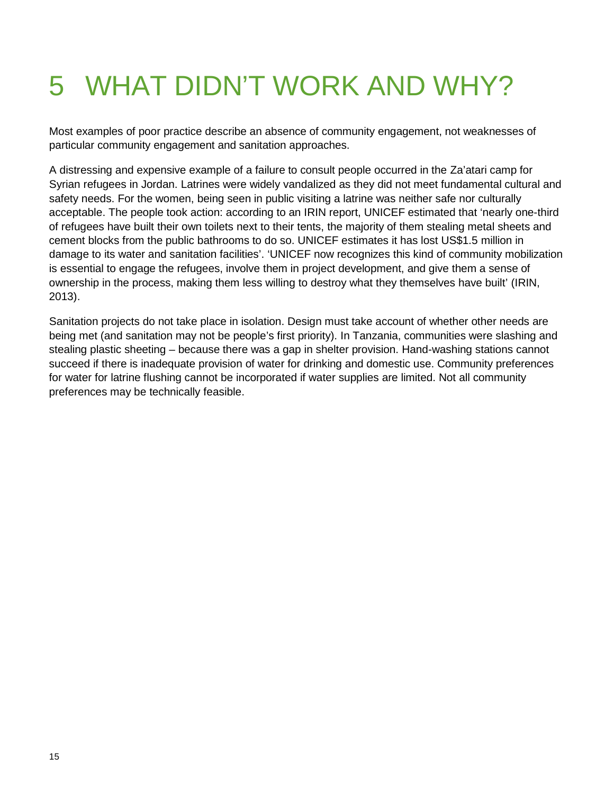# <span id="page-14-0"></span>5 WHAT DIDN'T WORK AND WHY?

Most examples of poor practice describe an absence of community engagement, not weaknesses of particular community engagement and sanitation approaches.

A distressing and expensive example of a failure to consult people occurred in the Za'atari camp for Syrian refugees in Jordan. Latrines were widely vandalized as they did not meet fundamental cultural and safety needs. For the women, being seen in public visiting a latrine was neither safe nor culturally acceptable. The people took action: according to an IRIN report, UNICEF estimated that 'nearly one-third of refugees have built their own toilets next to their tents, the majority of them stealing metal sheets and cement blocks from the public bathrooms to do so. UNICEF estimates it has lost US\$1.5 million in damage to its water and sanitation facilities'. 'UNICEF now recognizes this kind of community mobilization is essential to engage the refugees, involve them in project development, and give them a sense of ownership in the process, making them less willing to destroy what they themselves have built' (IRIN, 2013).

Sanitation projects do not take place in isolation. Design must take account of whether other needs are being met (and sanitation may not be people's first priority). In Tanzania, communities were slashing and stealing plastic sheeting – because there was a gap in shelter provision. Hand-washing stations cannot succeed if there is inadequate provision of water for drinking and domestic use. Community preferences for water for latrine flushing cannot be incorporated if water supplies are limited. Not all community preferences may be technically feasible.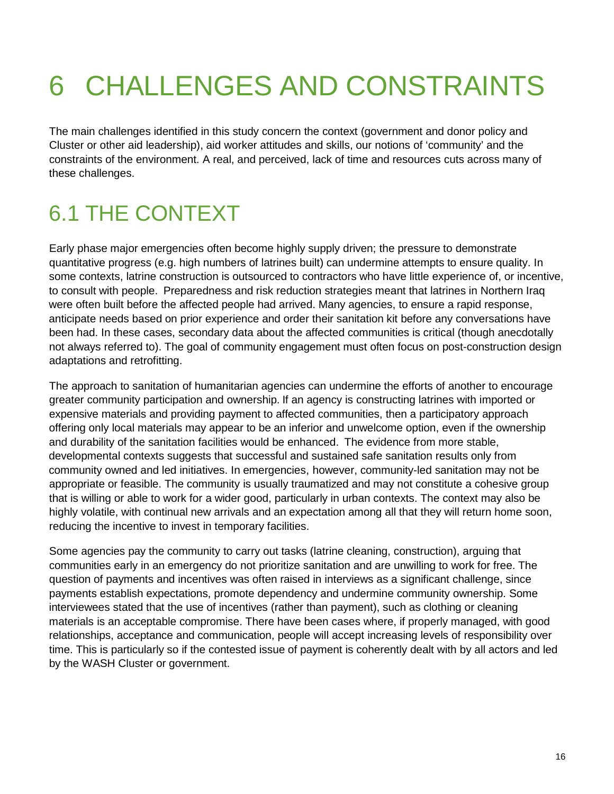# <span id="page-15-0"></span>6 CHALLENGES AND CONSTRAINTS

The main challenges identified in this study concern the context (government and donor policy and Cluster or other aid leadership), aid worker attitudes and skills, our notions of 'community' and the constraints of the environment. A real, and perceived, lack of time and resources cuts across many of these challenges.

## <span id="page-15-1"></span>6.1 THE CONTEXT

Early phase major emergencies often become highly supply driven; the pressure to demonstrate quantitative progress (e.g. high numbers of latrines built) can undermine attempts to ensure quality. In some contexts, latrine construction is outsourced to contractors who have little experience of, or incentive, to consult with people. Preparedness and risk reduction strategies meant that latrines in Northern Iraq were often built before the affected people had arrived. Many agencies, to ensure a rapid response, anticipate needs based on prior experience and order their sanitation kit before any conversations have been had. In these cases, secondary data about the affected communities is critical (though anecdotally not always referred to). The goal of community engagement must often focus on post-construction design adaptations and retrofitting.

The approach to sanitation of humanitarian agencies can undermine the efforts of another to encourage greater community participation and ownership. If an agency is constructing latrines with imported or expensive materials and providing payment to affected communities, then a participatory approach offering only local materials may appear to be an inferior and unwelcome option, even if the ownership and durability of the sanitation facilities would be enhanced. The evidence from more stable, developmental contexts suggests that successful and sustained safe sanitation results only from community owned and led initiatives. In emergencies, however, community-led sanitation may not be appropriate or feasible. The community is usually traumatized and may not constitute a cohesive group that is willing or able to work for a wider good, particularly in urban contexts. The context may also be highly volatile, with continual new arrivals and an expectation among all that they will return home soon, reducing the incentive to invest in temporary facilities.

Some agencies pay the community to carry out tasks (latrine cleaning, construction), arguing that communities early in an emergency do not prioritize sanitation and are unwilling to work for free. The question of payments and incentives was often raised in interviews as a significant challenge, since payments establish expectations, promote dependency and undermine community ownership. Some interviewees stated that the use of incentives (rather than payment), such as clothing or cleaning materials is an acceptable compromise. There have been cases where, if properly managed, with good relationships, acceptance and communication, people will accept increasing levels of responsibility over time. This is particularly so if the contested issue of payment is coherently dealt with by all actors and led by the WASH Cluster or government.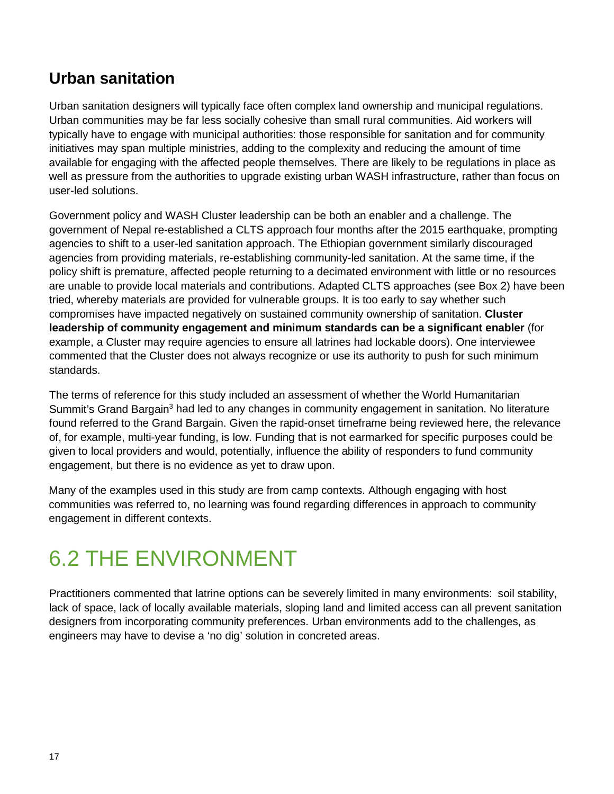#### **Urban sanitation**

Urban sanitation designers will typically face often complex land ownership and municipal regulations. Urban communities may be far less socially cohesive than small rural communities. Aid workers will typically have to engage with municipal authorities: those responsible for sanitation and for community initiatives may span multiple ministries, adding to the complexity and reducing the amount of time available for engaging with the affected people themselves. There are likely to be regulations in place as well as pressure from the authorities to upgrade existing urban WASH infrastructure, rather than focus on user-led solutions.

Government policy and WASH Cluster leadership can be both an enabler and a challenge. The government of Nepal re-established a CLTS approach four months after the 2015 earthquake, prompting agencies to shift to a user-led sanitation approach. The Ethiopian government similarly discouraged agencies from providing materials, re-establishing community-led sanitation. At the same time, if the policy shift is premature, affected people returning to a decimated environment with little or no resources are unable to provide local materials and contributions. Adapted CLTS approaches (see Box 2) have been tried, whereby materials are provided for vulnerable groups. It is too early to say whether such compromises have impacted negatively on sustained community ownership of sanitation. **Cluster leadership of community engagement and minimum standards can be a significant enabler** (for example, a Cluster may require agencies to ensure all latrines had lockable doors). One interviewee commented that the Cluster does not always recognize or use its authority to push for such minimum standards.

The terms of reference for this study included an assessment of whether the World Humanitarian Summit's Grand Bargain<sup>3</sup> had led to any changes in community engagement in sanitation. No literature found referred to the Grand Bargain. Given the rapid-onset timeframe being reviewed here, the relevance of, for example, multi-year funding, is low. Funding that is not earmarked for specific purposes could be given to local providers and would, potentially, influence the ability of responders to fund community engagement, but there is no evidence as yet to draw upon.

Many of the examples used in this study are from camp contexts. Although engaging with host communities was referred to, no learning was found regarding differences in approach to community engagement in different contexts.

#### <span id="page-16-0"></span>6.2 THE ENVIRONMENT

<span id="page-16-1"></span>Practitioners commented that latrine options can be severely limited in many environments: soil stability, lack of space, lack of locally available materials, sloping land and limited access can all prevent sanitation designers from incorporating community preferences. Urban environments add to the challenges, as engineers may have to devise a 'no dig' solution in concreted areas.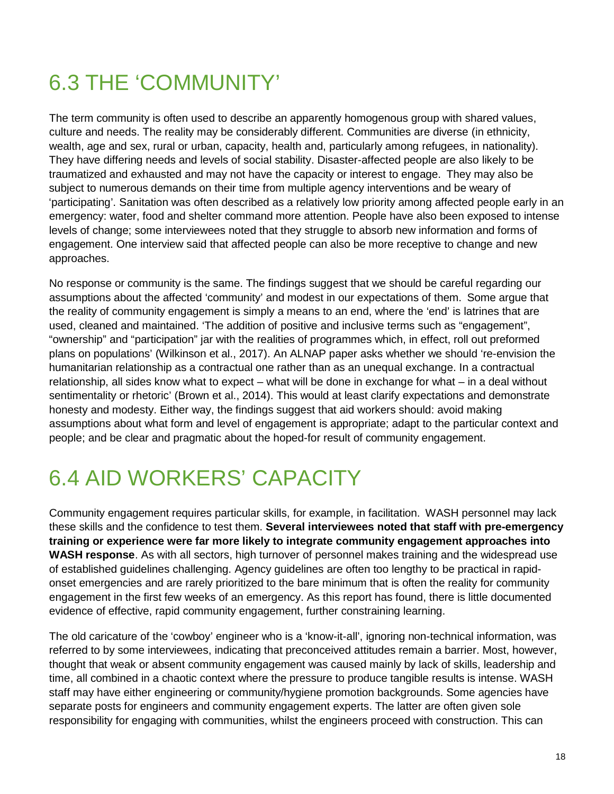#### 6.3 THE 'COMMUNITY'

The term community is often used to describe an apparently homogenous group with shared values, culture and needs. The reality may be considerably different. Communities are diverse (in ethnicity, wealth, age and sex, rural or urban, capacity, health and, particularly among refugees, in nationality). They have differing needs and levels of social stability. Disaster-affected people are also likely to be traumatized and exhausted and may not have the capacity or interest to engage. They may also be subject to numerous demands on their time from multiple agency interventions and be weary of 'participating'. Sanitation was often described as a relatively low priority among affected people early in an emergency: water, food and shelter command more attention. People have also been exposed to intense levels of change; some interviewees noted that they struggle to absorb new information and forms of engagement. One interview said that affected people can also be more receptive to change and new approaches.

No response or community is the same. The findings suggest that we should be careful regarding our assumptions about the affected 'community' and modest in our expectations of them. Some argue that the reality of community engagement is simply a means to an end, where the 'end' is latrines that are used, cleaned and maintained. 'The addition of positive and inclusive terms such as "engagement", "ownership" and "participation" jar with the realities of programmes which, in effect, roll out preformed plans on populations' (Wilkinson et al., 2017). An ALNAP paper asks whether we should 're-envision the humanitarian relationship as a contractual one rather than as an unequal exchange. In a contractual relationship, all sides know what to expect – what will be done in exchange for what – in a deal without sentimentality or rhetoric' (Brown et al., 2014). This would at least clarify expectations and demonstrate honesty and modesty. Either way, the findings suggest that aid workers should: avoid making assumptions about what form and level of engagement is appropriate; adapt to the particular context and people; and be clear and pragmatic about the hoped-for result of community engagement.

## <span id="page-17-0"></span>6.4 AID WORKERS' CAPACITY

Community engagement requires particular skills, for example, in facilitation. WASH personnel may lack these skills and the confidence to test them. **Several interviewees noted that staff with pre-emergency training or experience were far more likely to integrate community engagement approaches into WASH response**. As with all sectors, high turnover of personnel makes training and the widespread use of established guidelines challenging. Agency guidelines are often too lengthy to be practical in rapidonset emergencies and are rarely prioritized to the bare minimum that is often the reality for community engagement in the first few weeks of an emergency. As this report has found, there is little documented evidence of effective, rapid community engagement, further constraining learning.

The old caricature of the 'cowboy' engineer who is a 'know-it-all', ignoring non-technical information, was referred to by some interviewees, indicating that preconceived attitudes remain a barrier. Most, however, thought that weak or absent community engagement was caused mainly by lack of skills, leadership and time, all combined in a chaotic context where the pressure to produce tangible results is intense. WASH staff may have either engineering or community/hygiene promotion backgrounds. Some agencies have separate posts for engineers and community engagement experts. The latter are often given sole responsibility for engaging with communities, whilst the engineers proceed with construction. This can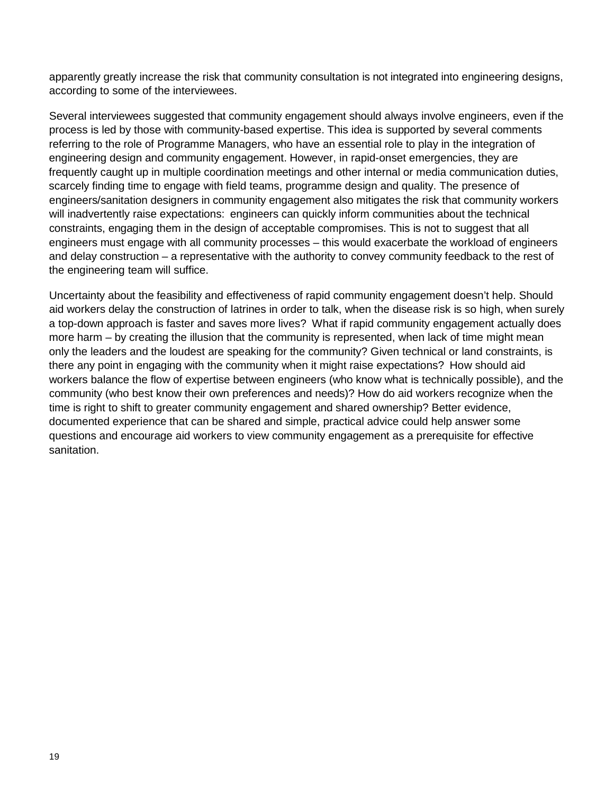apparently greatly increase the risk that community consultation is not integrated into engineering designs, according to some of the interviewees.

Several interviewees suggested that community engagement should always involve engineers, even if the process is led by those with community-based expertise. This idea is supported by several comments referring to the role of Programme Managers, who have an essential role to play in the integration of engineering design and community engagement. However, in rapid-onset emergencies, they are frequently caught up in multiple coordination meetings and other internal or media communication duties, scarcely finding time to engage with field teams, programme design and quality. The presence of engineers/sanitation designers in community engagement also mitigates the risk that community workers will inadvertently raise expectations: engineers can quickly inform communities about the technical constraints, engaging them in the design of acceptable compromises. This is not to suggest that all engineers must engage with all community processes – this would exacerbate the workload of engineers and delay construction – a representative with the authority to convey community feedback to the rest of the engineering team will suffice.

Uncertainty about the feasibility and effectiveness of rapid community engagement doesn't help. Should aid workers delay the construction of latrines in order to talk, when the disease risk is so high, when surely a top-down approach is faster and saves more lives? What if rapid community engagement actually does more harm – by creating the illusion that the community is represented, when lack of time might mean only the leaders and the loudest are speaking for the community? Given technical or land constraints, is there any point in engaging with the community when it might raise expectations? How should aid workers balance the flow of expertise between engineers (who know what is technically possible), and the community (who best know their own preferences and needs)? How do aid workers recognize when the time is right to shift to greater community engagement and shared ownership? Better evidence, documented experience that can be shared and simple, practical advice could help answer some questions and encourage aid workers to view community engagement as a prerequisite for effective sanitation.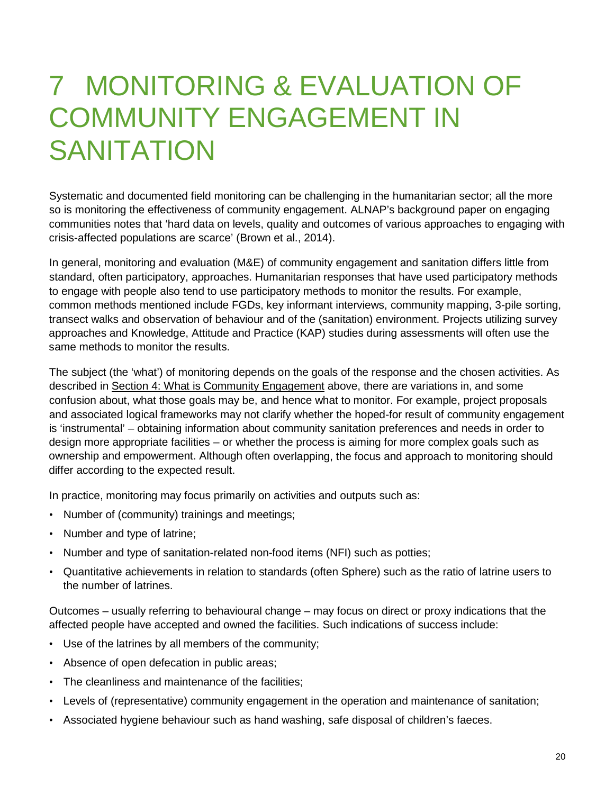## <span id="page-19-0"></span>7 MONITORING & EVALUATION OF COMMUNITY ENGAGEMENT IN **SANITATION**

Systematic and documented field monitoring can be challenging in the humanitarian sector; all the more so is monitoring the effectiveness of community engagement. ALNAP's background paper on engaging communities notes that 'hard data on levels, quality and outcomes of various approaches to engaging with crisis-affected populations are scarce' (Brown et al., 2014).

In general, monitoring and evaluation (M&E) of community engagement and sanitation differs little from standard, often participatory, approaches. Humanitarian responses that have used participatory methods to engage with people also tend to use participatory methods to monitor the results. For example, common methods mentioned include FGDs, key informant interviews, community mapping, 3-pile sorting, transect walks and observation of behaviour and of the (sanitation) environment. Projects utilizing survey approaches and Knowledge, Attitude and Practice (KAP) studies during assessments will often use the same methods to monitor the results.

The subject (the 'what') of monitoring depends on the goals of the response and the chosen activities. As described in Section 4: What [is Community](#page-12-0) Engagement above, there are variations in, and some confusion about, what those goals may be, and hence what to monitor. For example, project proposals and associated logical frameworks may not clarify whether the hoped-for result of community engagement is 'instrumental' – obtaining information about community sanitation preferences and needs in order to design more appropriate facilities – or whether the process is aiming for more complex goals such as ownership and empowerment. Although often overlapping, the focus and approach to monitoring should differ according to the expected result.

In practice, monitoring may focus primarily on activities and outputs such as:

- Number of (community) trainings and meetings;
- Number and type of latrine;
- Number and type of sanitation-related non-food items (NFI) such as potties;
- Quantitative achievements in relation to standards (often Sphere) such as the ratio of latrine users to the number of latrines.

Outcomes – usually referring to behavioural change – may focus on direct or proxy indications that the affected people have accepted and owned the facilities. Such indications of success include:

- Use of the latrines by all members of the community;
- Absence of open defecation in public areas;
- The cleanliness and maintenance of the facilities;
- Levels of (representative) community engagement in the operation and maintenance of sanitation;
- Associated hygiene behaviour such as hand washing, safe disposal of children's faeces.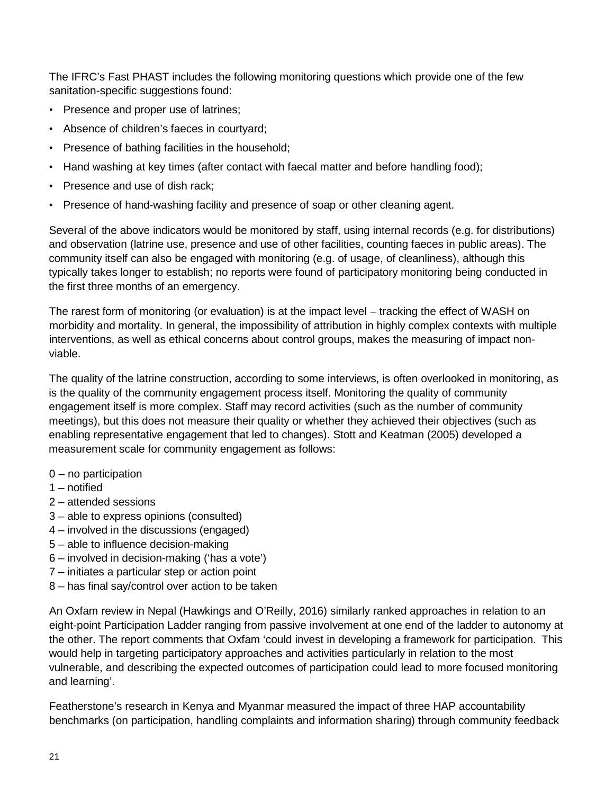The IFRC's Fast PHAST includes the following monitoring questions which provide one of the few sanitation-specific suggestions found:

- Presence and proper use of latrines;
- Absence of children's faeces in courtyard;
- Presence of bathing facilities in the household;
- Hand washing at key times (after contact with faecal matter and before handling food);
- Presence and use of dish rack;
- Presence of hand-washing facility and presence of soap or other cleaning agent.

Several of the above indicators would be monitored by staff, using internal records (e.g. for distributions) and observation (latrine use, presence and use of other facilities, counting faeces in public areas). The community itself can also be engaged with monitoring (e.g. of usage, of cleanliness), although this typically takes longer to establish; no reports were found of participatory monitoring being conducted in the first three months of an emergency.

The rarest form of monitoring (or evaluation) is at the impact level – tracking the effect of WASH on morbidity and mortality. In general, the impossibility of attribution in highly complex contexts with multiple interventions, as well as ethical concerns about control groups, makes the measuring of impact nonviable.

The quality of the latrine construction, according to some interviews, is often overlooked in monitoring, as is the quality of the community engagement process itself. Monitoring the quality of community engagement itself is more complex. Staff may record activities (such as the number of community meetings), but this does not measure their quality or whether they achieved their objectives (such as enabling representative engagement that led to changes). Stott and Keatman (2005) developed a measurement scale for community engagement as follows:

- 0 no participation
- 1 notified
- 2 attended sessions
- 3 able to express opinions (consulted)
- 4 involved in the discussions (engaged)
- 5 able to influence decision-making
- 6 involved in decision-making ('has a vote')
- 7 initiates a particular step or action point
- 8 has final say/control over action to be taken

An Oxfam review in Nepal (Hawkings and O'Reilly, 2016) similarly ranked approaches in relation to an eight-point Participation Ladder ranging from passive involvement at one end of the ladder to autonomy at the other. The report comments that Oxfam 'could invest in developing a framework for participation. This would help in targeting participatory approaches and activities particularly in relation to the most vulnerable, and describing the expected outcomes of participation could lead to more focused monitoring and learning'.

Featherstone's research in Kenya and Myanmar measured the impact of three HAP accountability benchmarks (on participation, handling complaints and information sharing) through community feedback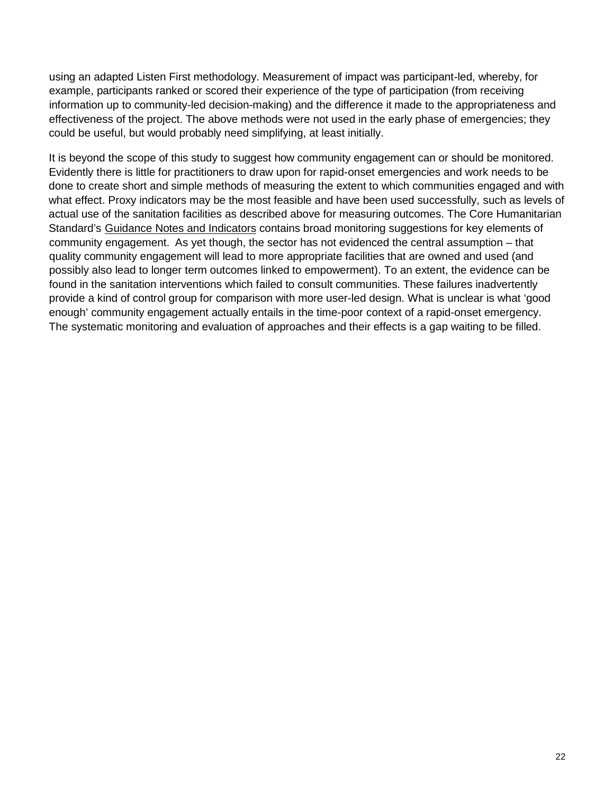using an adapted Listen First methodology. Measurement of impact was participant-led, whereby, for example, participants ranked or scored their experience of the type of participation (from receiving information up to community-led decision-making) and the difference it made to the appropriateness and effectiveness of the project. The above methods were not used in the early phase of emergencies; they could be useful, but would probably need simplifying, at least initially.

It is beyond the scope of this study to suggest how community engagement can or should be monitored. Evidently there is little for practitioners to draw upon for rapid-onset emergencies and work needs to be done to create short and simple methods of measuring the extent to which communities engaged and with what effect. Proxy indicators may be the most feasible and have been used successfully, such as levels of actual use of the sanitation facilities as described above for measuring outcomes. The Core Humanitarian Standard's [Guidance Notes and Indicators](https://corehumanitarianstandard.org/files/files/CHS-Guidance-Notes-and-Indicators.pdf) contains broad monitoring suggestions for key elements of community engagement. As yet though, the sector has not evidenced the central assumption – that quality community engagement will lead to more appropriate facilities that are owned and used (and possibly also lead to longer term outcomes linked to empowerment). To an extent, the evidence can be found in the sanitation interventions which failed to consult communities. These failures inadvertently provide a kind of control group for comparison with more user-led design. What is unclear is what 'good enough' community engagement actually entails in the time-poor context of a rapid-onset emergency. The systematic monitoring and evaluation of approaches and their effects is a gap waiting to be filled.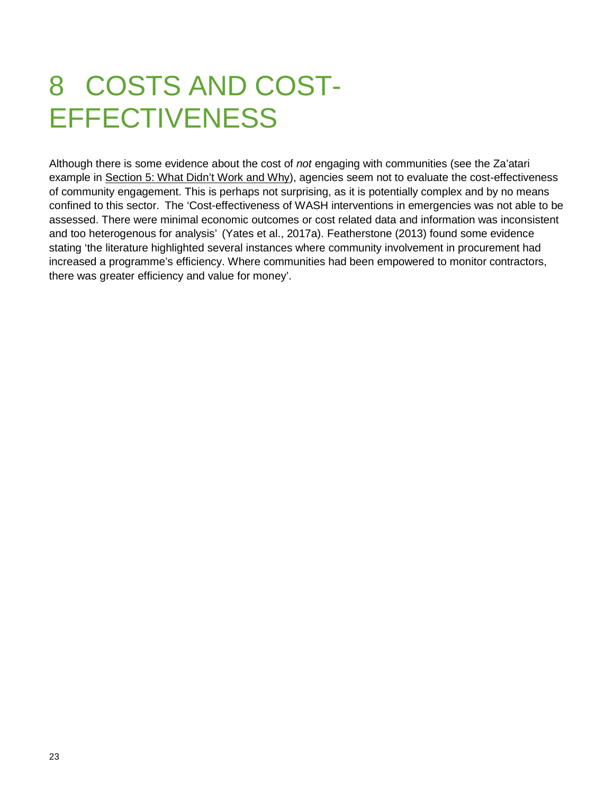## <span id="page-22-0"></span>8 COSTS AND COST-**EFFECTIVENESS**

Although there is some evidence about the cost of *not* engaging with communities (see the Za'atari example in [Section 5: What](#page-14-0) Didn't Work and Why), agencies seem not to evaluate the cost-effectiveness of community engagement. This is perhaps not surprising, as it is potentially complex and by no means confined to this sector. The 'Cost-effectiveness of WASH interventions in emergencies was not able to be assessed. There were minimal economic outcomes or cost related data and information was inconsistent and too heterogenous for analysis' (Yates et al., 2017a). Featherstone (2013) found some evidence stating 'the literature highlighted several instances where community involvement in procurement had increased a programme's efficiency. Where communities had been empowered to monitor contractors, there was greater efficiency and value for money'.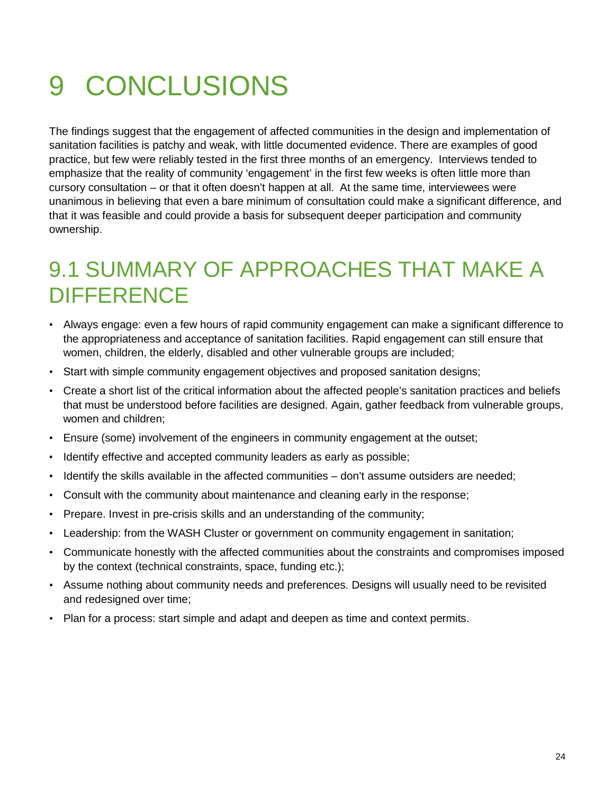## <span id="page-23-0"></span>9 CONCLUSIONS

The findings suggest that the engagement of affected communities in the design and implementation of sanitation facilities is patchy and weak, with little documented evidence. There are examples of good practice, but few were reliably tested in the first three months of an emergency. Interviews tended to emphasize that the reality of community 'engagement' in the first few weeks is often little more than cursory consultation – or that it often doesn't happen at all. At the same time, interviewees were unanimous in believing that even a bare minimum of consultation could make a significant difference, and that it was feasible and could provide a basis for subsequent deeper participation and community ownership.

#### <span id="page-23-1"></span>9.1 SUMMARY OF APPROACHES THAT MAKE A **DIFFERENCE**

- Always engage: even a few hours of rapid community engagement can make a significant difference to the appropriateness and acceptance of sanitation facilities. Rapid engagement can still ensure that women, children, the elderly, disabled and other vulnerable groups are included;
- Start with simple community engagement objectives and proposed sanitation designs;
- Create a short list of the critical information about the affected people's sanitation practices and beliefs that must be understood before facilities are designed. Again, gather feedback from vulnerable groups, women and children;
- Ensure (some) involvement of the engineers in community engagement at the outset;
- Identify effective and accepted community leaders as early as possible;
- Identify the skills available in the affected communities don't assume outsiders are needed;
- Consult with the community about maintenance and cleaning early in the response;
- Prepare. Invest in pre-crisis skills and an understanding of the community;
- Leadership: from the WASH Cluster or government on community engagement in sanitation;
- Communicate honestly with the affected communities about the constraints and compromises imposed by the context (technical constraints, space, funding etc.);
- Assume nothing about community needs and preferences. Designs will usually need to be revisited and redesigned over time;
- Plan for a process: start simple and adapt and deepen as time and context permits.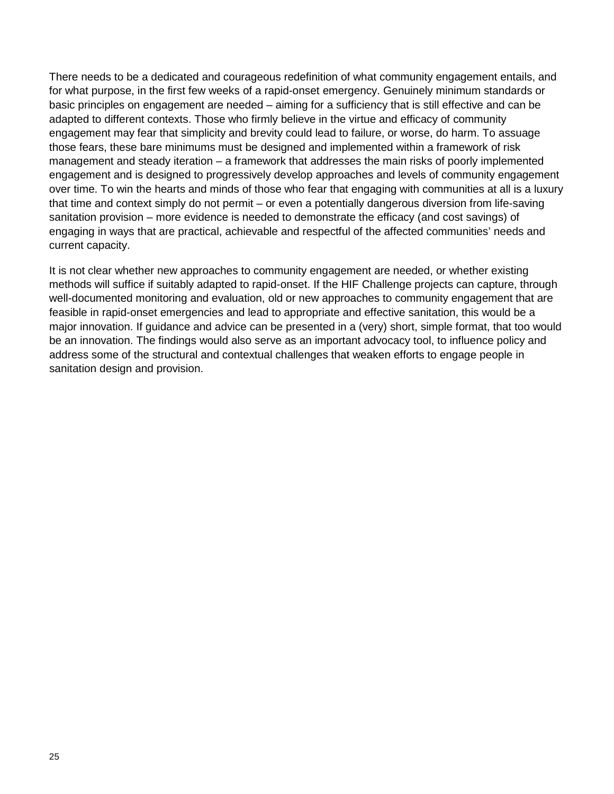There needs to be a dedicated and courageous redefinition of what community engagement entails, and for what purpose, in the first few weeks of a rapid-onset emergency. Genuinely minimum standards or basic principles on engagement are needed – aiming for a sufficiency that is still effective and can be adapted to different contexts. Those who firmly believe in the virtue and efficacy of community engagement may fear that simplicity and brevity could lead to failure, or worse, do harm. To assuage those fears, these bare minimums must be designed and implemented within a framework of risk management and steady iteration – a framework that addresses the main risks of poorly implemented engagement and is designed to progressively develop approaches and levels of community engagement over time. To win the hearts and minds of those who fear that engaging with communities at all is a luxury that time and context simply do not permit – or even a potentially dangerous diversion from life-saving sanitation provision – more evidence is needed to demonstrate the efficacy (and cost savings) of engaging in ways that are practical, achievable and respectful of the affected communities' needs and current capacity.

It is not clear whether new approaches to community engagement are needed, or whether existing methods will suffice if suitably adapted to rapid-onset. If the HIF Challenge projects can capture, through well-documented monitoring and evaluation, old or new approaches to community engagement that are feasible in rapid-onset emergencies and lead to appropriate and effective sanitation, this would be a major innovation. If guidance and advice can be presented in a (very) short, simple format, that too would be an innovation. The findings would also serve as an important advocacy tool, to influence policy and address some of the structural and contextual challenges that weaken efforts to engage people in sanitation design and provision.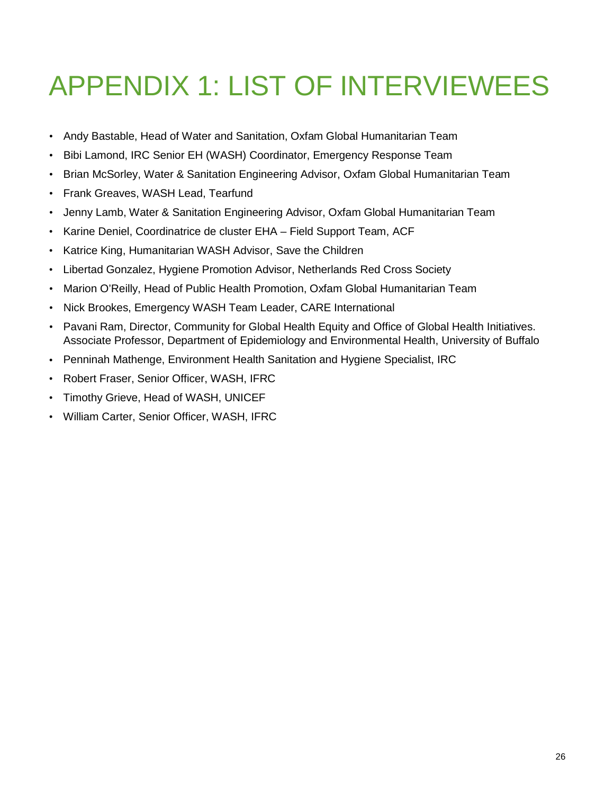## <span id="page-25-0"></span>APPENDIX 1: LIST OF INTERVIEWEES

- Andy Bastable, Head of Water and Sanitation, Oxfam Global Humanitarian Team
- Bibi Lamond, IRC Senior EH (WASH) Coordinator, Emergency Response Team
- Brian McSorley, Water & Sanitation Engineering Advisor, Oxfam Global Humanitarian Team
- Frank Greaves, WASH Lead, Tearfund
- Jenny Lamb, Water & Sanitation Engineering Advisor, Oxfam Global Humanitarian Team
- Karine Deniel, Coordinatrice de cluster EHA Field Support Team, ACF
- Katrice King, Humanitarian WASH Advisor, Save the Children
- Libertad Gonzalez, Hygiene Promotion Advisor, Netherlands Red Cross Society
- Marion O'Reilly, Head of Public Health Promotion, Oxfam Global Humanitarian Team
- Nick Brookes, Emergency WASH Team Leader, CARE International
- Pavani Ram, Director, Community for Global Health Equity and Office of Global Health Initiatives. Associate Professor, Department of Epidemiology and Environmental Health, University of Buffalo
- Penninah Mathenge, Environment Health Sanitation and Hygiene Specialist, IRC
- Robert Fraser, Senior Officer, WASH, IFRC
- Timothy Grieve, Head of WASH, UNICEF
- William Carter, Senior Officer, WASH, IFRC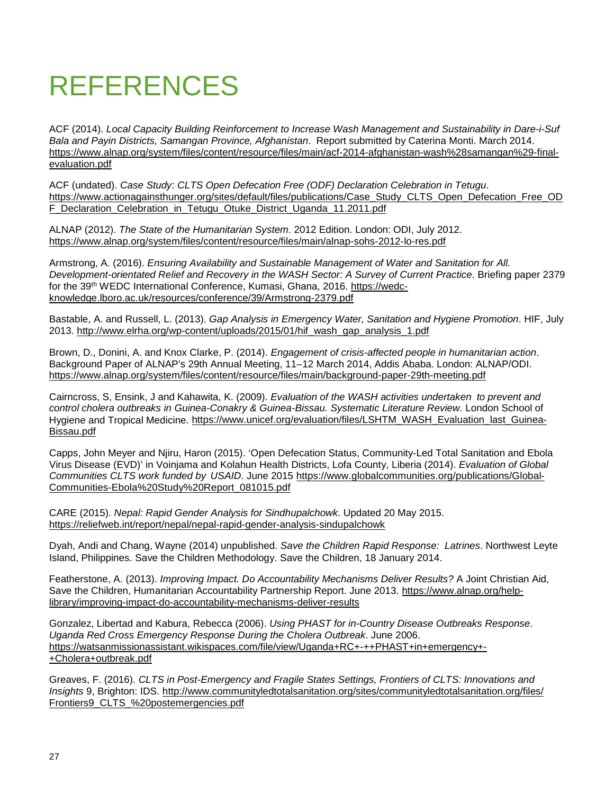## <span id="page-26-0"></span>REFERENCES

ACF (2014). *Local Capacity Building Reinforcement to Increase Wash Management and Sustainability in Dare-i-Suf Bala and Payin Districts, Samangan Province, Afghanistan*. Report submitted by Caterina Monti. March 2014. [https://www.alnap.org/system/files/content/resource/files/main/acf-2014-afghanistan-wash%28samangan%29-final](https://www.alnap.org/system/files/content/resource/files/main/acf-2014-afghanistan-wash%28samangan%29-final-evaluation.pdf)[evaluation.pdf](https://www.alnap.org/system/files/content/resource/files/main/acf-2014-afghanistan-wash%28samangan%29-final-evaluation.pdf)

ACF (undated). *Case Study: CLTS Open Defecation Free (ODF) Declaration Celebration in Tetugu*. [https://www.actionagainsthunger.org/sites/default/files/publications/Case\\_Study\\_CLTS\\_Open\\_Defecation\\_Free\\_OD](https://www.actionagainsthunger.org/sites/default/files/publications/Case_Study_CLTS_Open_Defecation_Free_ODF_Declaration_Celebration_in_Tetugu_Otuke_District_Uganda_11.2011.pdf) [F\\_Declaration\\_Celebration\\_in\\_Tetugu\\_Otuke\\_District\\_Uganda\\_11.2011.pdf](https://www.actionagainsthunger.org/sites/default/files/publications/Case_Study_CLTS_Open_Defecation_Free_ODF_Declaration_Celebration_in_Tetugu_Otuke_District_Uganda_11.2011.pdf)

ALNAP (2012). *The State of the Humanitarian System*. 2012 Edition. London: ODI, July 2012. <https://www.alnap.org/system/files/content/resource/files/main/alnap-sohs-2012-lo-res.pdf>

Armstrong, A. (2016). *Ensuring Availability and Sustainable Management of Water and Sanitation for All. Development-orientated Relief and Recovery in the WASH Sector: A Survey of Current Practice*. Briefing paper 2379 for the 39th WEDC International Conference, Kumasi, Ghana, 2016. [https://wedc](https://wedc-knowledge.lboro.ac.uk/resources/conference/39/Armstrong-2379.pdf)[knowledge.lboro.ac.uk/resources/conference/39/Armstrong-2379.pdf](https://wedc-knowledge.lboro.ac.uk/resources/conference/39/Armstrong-2379.pdf)

Bastable, A. and Russell, L. (2013). *Gap Analysis in Emergency Water, Sanitation and Hygiene Promotion*. HIF, July 2013. [http://www.elrha.org/wp-content/uploads/2015/01/hif\\_wash\\_gap\\_analysis\\_1.pdf](http://www.elrha.org/wp-content/uploads/2015/01/hif_wash_gap_analysis_1.pdf)

Brown, D., Donini, A. and Knox Clarke, P. (2014). *Engagement of crisis-affected people in humanitarian action*. Background Paper of ALNAP's 29th Annual Meeting, 11–12 March 2014, Addis Ababa. London: ALNAP/ODI. <https://www.alnap.org/system/files/content/resource/files/main/background-paper-29th-meeting.pdf>

Cairncross, S, Ensink, J and Kahawita, K. (2009). *Evaluation of the WASH activities undertaken to prevent and control cholera outbreaks in Guinea-Conakry & Guinea-Bissau. Systematic Literature Review.* London School of Hygiene and Tropical Medicine. [https://www.unicef.org/evaluation/files/LSHTM\\_WASH\\_Evaluation\\_last\\_Guinea-](https://www.unicef.org/evaluation/files/LSHTM_WASH_Evaluation_last_Guinea-Bissau.pdf)[Bissau.pdf](https://www.unicef.org/evaluation/files/LSHTM_WASH_Evaluation_last_Guinea-Bissau.pdf)

Capps, John Meyer and Njiru, Haron (2015). 'Open Defecation Status, Community-Led Total Sanitation and Ebola Virus Disease (EVD)' in Voinjama and Kolahun Health Districts, Lofa County, Liberia (2014). *Evaluation of Global Communities CLTS work funded by USAID*. June 2015 [https://www.globalcommunities.org/publications/Global-](https://www.globalcommunities.org/publications/Global-Communities-Ebola%20Study%20Report_081015.pdf)[Communities-Ebola%20Study%20Report\\_081015.pdf](https://www.globalcommunities.org/publications/Global-Communities-Ebola%20Study%20Report_081015.pdf)

CARE (2015). *Nepal: Rapid Gender Analysis for Sindhupalchowk*. Updated 20 May 2015. <https://reliefweb.int/report/nepal/nepal-rapid-gender-analysis-sindupalchowk>

Dyah, Andi and Chang, Wayne (2014) unpublished. *Save the Children Rapid Response: Latrines*. Northwest Leyte Island, Philippines. Save the Children Methodology. Save the Children, 18 January 2014.

Featherstone, A. (2013). *Improving Impact. Do Accountability Mechanisms Deliver Results?* A Joint Christian Aid, Save the Children, Humanitarian Accountability Partnership Report. June 2013. [https://www.alnap.org/help](https://www.alnap.org/help-library/improving-impact-do-accountability-mechanisms-deliver-results)[library/improving-impact-do-accountability-mechanisms-deliver-results](https://www.alnap.org/help-library/improving-impact-do-accountability-mechanisms-deliver-results)

Gonzalez, Libertad and Kabura, Rebecca (2006). *Using PHAST for in-Country Disease Outbreaks Response*. *Uganda Red Cross Emergency Response During the Cholera Outbreak*. June 2006. [https://watsanmissionassistant.wikispaces.com/file/view/Uganda+RC+-++PHAST+in+emergency+-](https://watsanmissionassistant.wikispaces.com/file/view/Uganda+RC+-++PHAST+in+emergency+-+Cholera+outbreak.pdf) [+Cholera+outbreak.pdf](https://watsanmissionassistant.wikispaces.com/file/view/Uganda+RC+-++PHAST+in+emergency+-+Cholera+outbreak.pdf)

Greaves, F. (2016). *CLTS in Post-Emergency and Fragile States Settings, Frontiers of CLTS: Innovations and Insights* 9, Brighton: IDS. [http://www.communityledtotalsanitation.org/sites/communityledtotalsanitation.org/files/](http://www.communityledtotalsanitation.org/sites/communityledtotalsanitation.org/files/Frontiers9_CLTS_%20postemergencies.pdf) [Frontiers9\\_CLTS\\_%20postemergencies.pdf](http://www.communityledtotalsanitation.org/sites/communityledtotalsanitation.org/files/Frontiers9_CLTS_%20postemergencies.pdf)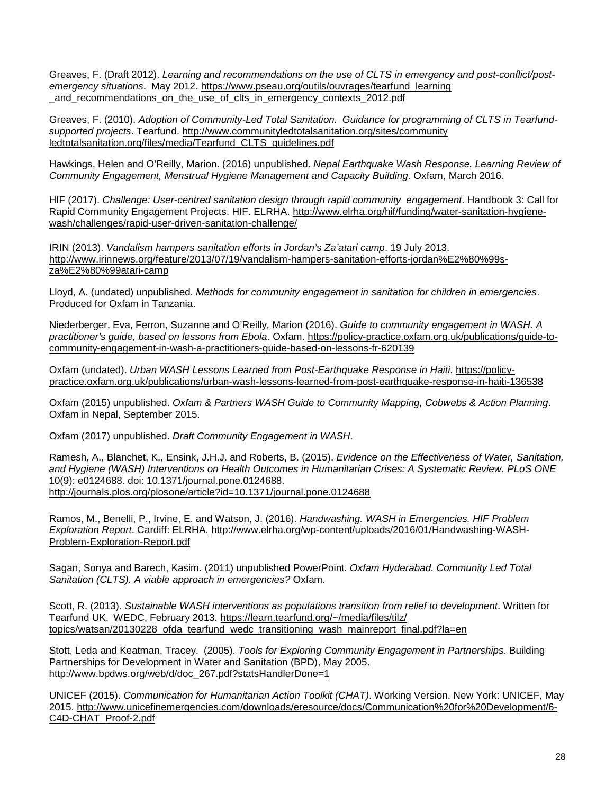Greaves, F. (Draft 2012). *Learning and recommendations on the use of CLTS in emergency and post-conflict/postemergency situations*. May 2012. [https://www.pseau.org/outils/ouvrages/tearfund\\_learning](https://www.pseau.org/outils/ouvrages/tearfund_learning_and_recommendations_on_the_use_of_clts_in_emergency_contexts_2012.pdf) and recommendations on the use of clts in emergency contexts 2012.pdf

Greaves, F. (2010). *Adoption of Community-Led Total Sanitation. Guidance for programming of CLTS in Tearfundsupported projects*. Tearfund. [http://www.communityledtotalsanitation.org/sites/community](http://www.communityledtotalsanitation.org/sites/communityledtotalsanitation.org/files/media/Tearfund_CLTS_guidelines.pdf) [ledtotalsanitation.org/files/media/Tearfund\\_CLTS\\_guidelines.pdf](http://www.communityledtotalsanitation.org/sites/communityledtotalsanitation.org/files/media/Tearfund_CLTS_guidelines.pdf)

Hawkings, Helen and O'Reilly, Marion. (2016) unpublished. *Nepal Earthquake Wash Response. Learning Review of Community Engagement, Menstrual Hygiene Management and Capacity Building*. Oxfam, March 2016.

HIF (2017). *Challenge: User-centred sanitation design through rapid community engagement*. Handbook 3: Call for Rapid Community Engagement Projects. HIF. ELRHA. [http://www.elrha.org/hif/funding/water-sanitation-hygiene](http://www.elrha.org/hif/funding/water-sanitation-hygiene-wash/challenges/rapid-user-driven-sanitation-challenge/)[wash/challenges/rapid-user-driven-sanitation-challenge/](http://www.elrha.org/hif/funding/water-sanitation-hygiene-wash/challenges/rapid-user-driven-sanitation-challenge/)

IRIN (2013). *Vandalism hampers sanitation efforts in Jordan's Za'atari camp*. 19 July 2013. [http://www.irinnews.org/feature/2013/07/19/vandalism-hampers-sanitation-efforts-jordan%E2%80%99s](http://www.irinnews.org/feature/2013/07/19/vandalism-hampers-sanitation-efforts-jordan%E2%80%99s-za%E2%80%99atari-camp)[za%E2%80%99atari-camp](http://www.irinnews.org/feature/2013/07/19/vandalism-hampers-sanitation-efforts-jordan%E2%80%99s-za%E2%80%99atari-camp)

Lloyd, A. (undated) unpublished. *Methods for community engagement in sanitation for children in emergencies*. Produced for Oxfam in Tanzania.

Niederberger, Eva, Ferron, Suzanne and O'Reilly, Marion (2016). *Guide to community engagement in WASH. A practitioner's guide, based on lessons from Ebola*. Oxfam. [https://policy-practice.oxfam.org.uk/publications/guide-to](https://policy-practice.oxfam.org.uk/publications/guide-to-community-engagement-in-wash-a-practitioners-guide-based-on-lessons-fr-620139)[community-engagement-in-wash-a-practitioners-guide-based-on-lessons-fr-620139](https://policy-practice.oxfam.org.uk/publications/guide-to-community-engagement-in-wash-a-practitioners-guide-based-on-lessons-fr-620139)

Oxfam (undated). *Urban WASH Lessons Learned from Post-Earthquake Response in Haiti*. [https://policy](https://policy-practice.oxfam.org.uk/publications/urban-wash-lessons-learned-from-post-earthquake-response-in-haiti-136538)[practice.oxfam.org.uk/publications/urban-wash-lessons-learned-from-post-earthquake-response-in-haiti-136538](https://policy-practice.oxfam.org.uk/publications/urban-wash-lessons-learned-from-post-earthquake-response-in-haiti-136538)

Oxfam (2015) unpublished. *Oxfam & Partners WASH Guide to Community Mapping, Cobwebs & Action Planning*. Oxfam in Nepal, September 2015.

Oxfam (2017) unpublished. *Draft Community Engagement in WASH*.

Ramesh, A., Blanchet, K., Ensink, J.H.J. and Roberts, B. (2015). *Evidence on the Effectiveness of Water, Sanitation, and Hygiene (WASH) Interventions on Health Outcomes in Humanitarian Crises: A Systematic Review. PLoS ONE* 10(9): e0124688. doi: 10.1371/journal.pone.0124688. <http://journals.plos.org/plosone/article?id=10.1371/journal.pone.0124688>

Ramos, M., Benelli, P., Irvine, E. and Watson, J. (2016). *Handwashing. WASH in Emergencies. HIF Problem Exploration Report*. Cardiff: ELRHA. [http://www.elrha.org/wp-content/uploads/2016/01/Handwashing-WASH-](http://www.elrha.org/wp-content/uploads/2016/01/Handwashing-WASH-Problem-Exploration-Report.pdf)[Problem-Exploration-Report.pdf](http://www.elrha.org/wp-content/uploads/2016/01/Handwashing-WASH-Problem-Exploration-Report.pdf)

Sagan, Sonya and Barech, Kasim. (2011) unpublished PowerPoint. *Oxfam Hyderabad. Community Led Total Sanitation (CLTS). A viable approach in emergencies?* Oxfam.

Scott, R. (2013). *Sustainable WASH interventions as populations transition from relief to development*. Written for Tearfund UK. WEDC, February 2013. [https://learn.tearfund.org/~/media/files/tilz/](https://learn.tearfund.org/%7E/media/files/tilz/topics/watsan/20130228_ofda_tearfund_wedc_transitioning_wash_mainreport_final.pdf?la=en) [topics/watsan/20130228\\_ofda\\_tearfund\\_wedc\\_transitioning\\_wash\\_mainreport\\_final.pdf?la=en](https://learn.tearfund.org/%7E/media/files/tilz/topics/watsan/20130228_ofda_tearfund_wedc_transitioning_wash_mainreport_final.pdf?la=en)

Stott, Leda and Keatman, Tracey. (2005). *Tools for Exploring Community Engagement in Partnerships*. Building Partnerships for Development in Water and Sanitation (BPD), May 2005. [http://www.bpdws.org/web/d/doc\\_267.pdf?statsHandlerDone=1](http://www.bpdws.org/web/d/doc_267.pdf?statsHandlerDone=1)

UNICEF (2015). *Communication for Humanitarian Action Toolkit (CHAT)*. Working Version. New York: UNICEF, May 2015. [http://www.unicefinemergencies.com/downloads/eresource/docs/Communication%20for%20Development/6-](http://www.unicefinemergencies.com/downloads/eresource/docs/%E2%80%8CCommunication%20for%20Development/6-C4D-CHAT_Proof-2.pdf) [C4D-CHAT\\_Proof-2.pdf](http://www.unicefinemergencies.com/downloads/eresource/docs/%E2%80%8CCommunication%20for%20Development/6-C4D-CHAT_Proof-2.pdf)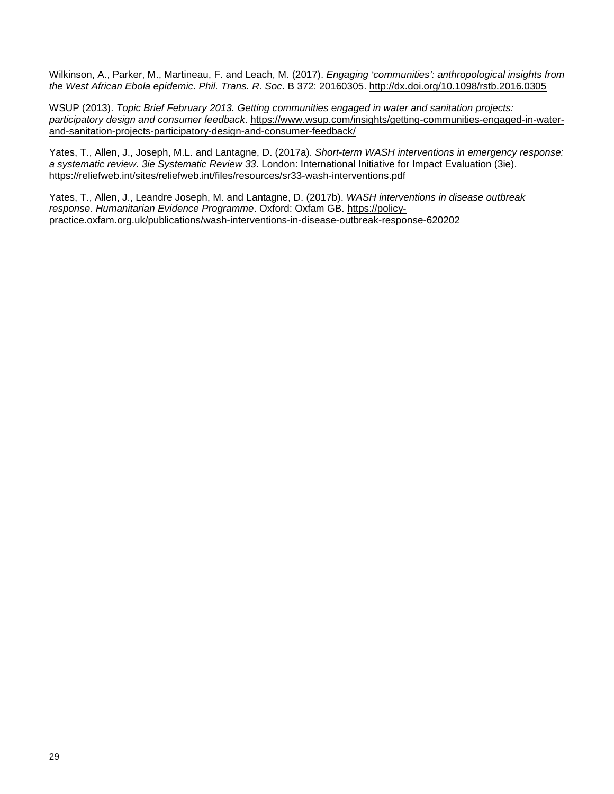Wilkinson, A., Parker, M., Martineau, F. and Leach, M. (2017). *Engaging 'communities': anthropological insights from the West African Ebola epidemic. Phil. Trans. R. Soc*. B 372: 20160305.<http://dx.doi.org/10.1098/rstb.2016.0305>

WSUP (2013). *Topic Brief February 2013. Getting communities engaged in water and sanitation projects: participatory design and consumer feedback*. [https://www.wsup.com/insights/getting-communities-engaged-in-water](https://www.wsup.com/insights/getting-communities-engaged-in-water-and-sanitation-projects-participatory-design-and-consumer-feedback/)[and-sanitation-projects-participatory-design-and-consumer-feedback/](https://www.wsup.com/insights/getting-communities-engaged-in-water-and-sanitation-projects-participatory-design-and-consumer-feedback/)

Yates, T., Allen, J., Joseph, M.L. and Lantagne, D. (2017a). *Short-term WASH interventions in emergency response: a systematic review. 3ie Systematic Review 33*. London: International Initiative for Impact Evaluation (3ie). <https://reliefweb.int/sites/reliefweb.int/files/resources/sr33-wash-interventions.pdf>

Yates, T., Allen, J., Leandre Joseph, M. and Lantagne, D. (2017b). *WASH interventions in disease outbreak response. Humanitarian Evidence Programme*. Oxford: Oxfam GB. [https://policy](https://policy-practice.oxfam.org.uk/publications/wash-interventions-in-disease-outbreak-response-620202)[practice.oxfam.org.uk/publications/wash-interventions-in-disease-outbreak-response-620202](https://policy-practice.oxfam.org.uk/publications/wash-interventions-in-disease-outbreak-response-620202)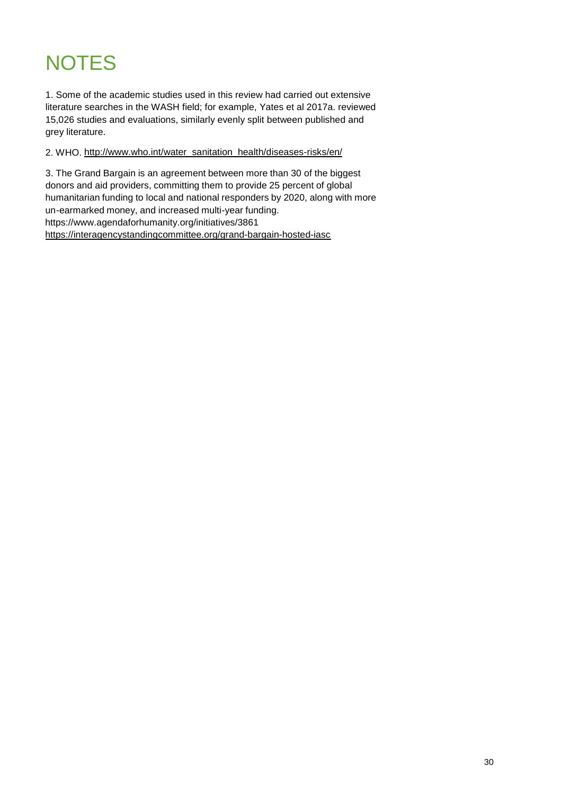## <span id="page-29-0"></span>**NOTES**

1. Some of the academic studies used in this review had carried out extensive literature searches in the WASH field; for example, Yates et al 2017a. reviewed 15,026 studies and evaluations, similarly evenly split between published and grey literature.

2. WHO. [http://www.who.int/water\\_sanitation\\_health/diseases-risks/en/](http://www.who.int/water_sanitation_health/diseases-risks/en/)

3. The Grand Bargain is an agreement between more than 30 of the biggest donors and aid providers, committing them to provide 25 percent of global humanitarian funding to local and national responders by 2020, along with more un-earmarked money, and increased multi-year funding. https://www.agendaforhumanity.org/initiatives/3861 <https://interagencystandingcommittee.org/grand-bargain-hosted-iasc>